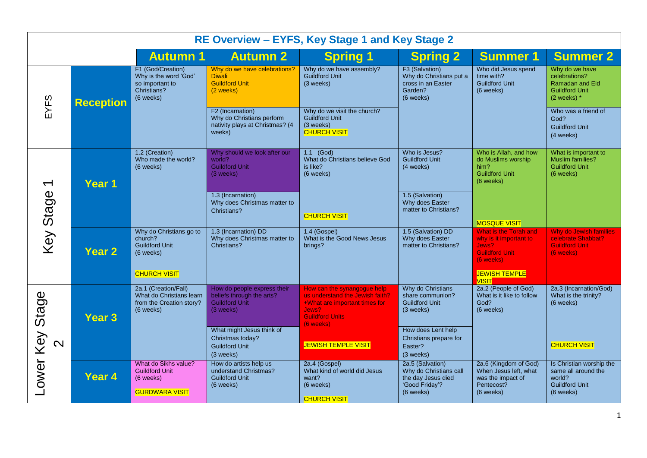| RE Overview - EYFS, Key Stage 1 and Key Stage 2 |                   |                                                                                                 |                                                                                                |                                                                                                                                                 |                                                                                                 |                                                                                                                                        |                                                                                                 |
|-------------------------------------------------|-------------------|-------------------------------------------------------------------------------------------------|------------------------------------------------------------------------------------------------|-------------------------------------------------------------------------------------------------------------------------------------------------|-------------------------------------------------------------------------------------------------|----------------------------------------------------------------------------------------------------------------------------------------|-------------------------------------------------------------------------------------------------|
|                                                 |                   | <b>Autumn 1</b>                                                                                 | <b>Autumn 2</b>                                                                                | <b>Spring 1</b>                                                                                                                                 | <b>Spring 2</b>                                                                                 | <b>Summer 1</b>                                                                                                                        | <b>Summer 2</b>                                                                                 |
| EYFS                                            | <b>Reception</b>  | F1 (God/Creation)<br>Why is the word 'God'<br>so important to<br>Christians?<br>(6 weeks)       | Why do we have celebrations?<br><b>Diwali</b><br><b>Guildford Unit</b><br>(2 weeks)            | Why do we have assembly?<br><b>Guildford Unit</b><br>(3 weeks)                                                                                  | F3 (Salvation)<br>Why do Christians put a<br>cross in an Easter<br>Garden?<br>(6 weeks)         | Who did Jesus spend<br>time with?<br><b>Guildford Unit</b><br>(6 weeks)                                                                | Why do we have<br>celebrations?<br>Ramadan and Eid<br><b>Guildford Unit</b><br>$(2$ weeks) $*$  |
|                                                 |                   |                                                                                                 | F2 (Incarnation)<br>Why do Christians perform<br>nativity plays at Christmas? (4<br>weeks)     | Why do we visit the church?<br><b>Guildford Unit</b><br>(3 weeks)<br><b>CHURCH VISIT</b>                                                        |                                                                                                 |                                                                                                                                        | Who was a friend of<br>God?<br><b>Guildford Unit</b><br>(4 weeks)                               |
| $\overline{\phantom{0}}$                        | Year 1            | 1.2 (Creation)<br>Who made the world?<br>(6 weeks)                                              | Why should we look after our<br>world?<br><b>Guildford Unit</b><br>(3 weeks)                   | $1.1$ (God)<br>What do Christians believe God<br>is like?<br>(6 weeks)                                                                          | Who is Jesus?<br><b>Guildford Unit</b><br>(4 weeks)                                             | Who is Allah, and how<br>do Muslims worship<br>him?<br><b>Guildford Unit</b><br>(6 weeks)                                              | What is important to<br><b>Muslim families?</b><br><b>Guildford Unit</b><br>(6 weeks)           |
| Key Stage                                       |                   |                                                                                                 | 1.3 (Incarnation)<br>Why does Christmas matter to<br>Christians?                               | <b>CHURCH VISIT</b>                                                                                                                             | 1.5 (Salvation)<br>Why does Easter<br>matter to Christians?                                     | <b>MOSQUE VISIT</b>                                                                                                                    |                                                                                                 |
|                                                 | <b>Year 2</b>     | Why do Christians go to<br>church?<br><b>Guildford Unit</b><br>(6 weeks)<br><b>CHURCH VISIT</b> | 1.3 (Incarnation) DD<br>Why does Christmas matter to<br>Christians?                            | 1.4 (Gospel)<br>What is the Good News Jesus<br>brings?                                                                                          | 1.5 (Salvation) DD<br>Why does Easter<br>matter to Christians?                                  | What is the Torah and<br>why is it important to<br>Jews?<br><b>Guildford Unit</b><br>(6 weeks)<br><b>JEWISH TEMPLE</b><br><b>VISIT</b> | <b>Why do Jewish families</b><br>celebrate Shabbat?<br><b>Guildford Unit</b><br>(6 weeks)       |
| Stage                                           | Year <sub>3</sub> | 2a.1 (Creation/Fall)<br>What do Christians learn<br>from the Creation story?<br>(6 weeks)       | How do people express their<br>beliefs through the arts?<br><b>Guildford Unit</b><br>(3 weeks) | How can the synangogue help<br>us understand the Jewish faith?<br>+What are important times for<br>Jews?<br><b>Guildford Units</b><br>(6 weeks) | Why do Christians<br>share communion?<br><b>Guildford Unit</b><br>(3 weeks)                     | 2a.2 (People of God)<br>What is it like to follow<br>God?<br>(6 weeks)                                                                 | 2a.3 (Incarnation/God)<br>What is the trinity?<br>(6 weeks)                                     |
| $\overline{\mathsf{N}}$                         |                   |                                                                                                 | What might Jesus think of<br>Christmas today?<br><b>Guildford Unit</b><br>(3 weeks)            | <b>JEWISH TEMPLE VISIT</b>                                                                                                                      | How does Lent help<br>Christians prepare for<br>Easter?<br>(3 weeks)                            |                                                                                                                                        | <b>CHURCH VISIT</b>                                                                             |
| Lower Key                                       | Year 4            | What do Sikhs value?<br><b>Guildford Unit</b><br>(6 weeks)<br><b>GURDWARA VISIT</b>             | How do artists help us<br>understand Christmas?<br><b>Guildford Unit</b><br>(6 weeks)          | 2a.4 (Gospel)<br>What kind of world did Jesus<br>want?<br>(6 weeks)<br><b>CHURCH VISIT</b>                                                      | 2a.5 (Salvation)<br>Why do Christians call<br>the day Jesus died<br>'Good Friday'?<br>(6 weeks) | 2a.6 (Kingdom of God)<br>When Jesus left, what<br>was the impact of<br>Pentecost?<br>(6 weeks)                                         | Is Christian worship the<br>same all around the<br>world?<br><b>Guildford Unit</b><br>(6 weeks) |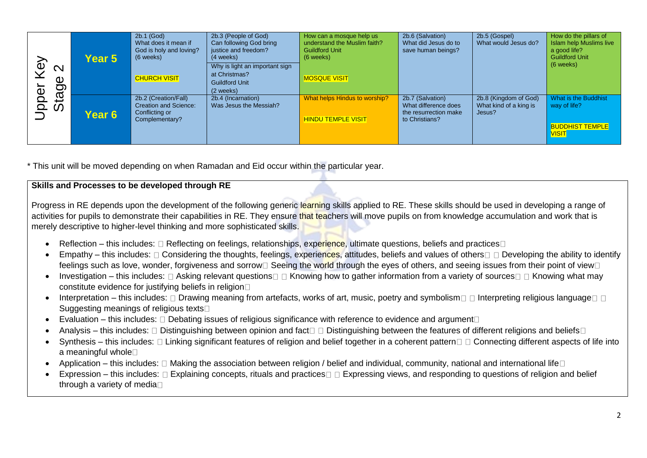| ➢<br>$\mathcal{Q}$<br>$\mathbf{\Omega}$<br>Φ<br>$\sigma$<br>Φ<br>$\vec{\omega}$<br>$\overline{\mathbf{Q}}$<br>$\overline{\mathbf{o}}$<br>$\mathcal{C}$ | Year 5 | $2b.1$ (God)<br>What does it mean if<br>God is holy and loving?<br>(6 weeks)      | 2b.3 (People of God)<br>Can following God bring<br>justice and freedom?<br>(4 weeks)<br>Why is light an important sign | How can a mosque help us<br>understand the Muslim faith?<br><b>Guildford Unit</b><br>$(6$ weeks) | 2b.6 (Salvation)<br>What did Jesus do to<br>save human beings?                      | 2b.5 (Gospel)<br>What would Jesus do?                     | How do the pillars of<br><b>Islam help Muslims live</b><br>a good life?<br><b>Guildford Unit</b><br>(6 weeks) |
|--------------------------------------------------------------------------------------------------------------------------------------------------------|--------|-----------------------------------------------------------------------------------|------------------------------------------------------------------------------------------------------------------------|--------------------------------------------------------------------------------------------------|-------------------------------------------------------------------------------------|-----------------------------------------------------------|---------------------------------------------------------------------------------------------------------------|
|                                                                                                                                                        |        | <b>CHURCH VISIT</b>                                                               | at Christmas?<br><b>Guildford Unit</b><br>(2 weeks)                                                                    | <b>MOSQUE VISIT</b>                                                                              |                                                                                     |                                                           |                                                                                                               |
|                                                                                                                                                        | Year 6 | 2b.2 (Creation/Fall)<br>Creation and Science:<br>Conflicting or<br>Complementary? | 2b.4 (Incarnation)<br>Was Jesus the Messiah?                                                                           | What helps Hindus to worship?<br><b>HINDU TEMPLE VISIT</b>                                       | 2b.7 (Salvation)<br>What difference does<br>the resurrection make<br>to Christians? | 2b.8 (Kingdom of God)<br>What kind of a king is<br>Jesus? | What is the Buddhist<br>way of life?<br><b>BUDDHIST TEMPLE</b>                                                |
|                                                                                                                                                        |        |                                                                                   |                                                                                                                        |                                                                                                  |                                                                                     |                                                           | <b>VISIT</b>                                                                                                  |

\* This unit will be moved depending on when Ramadan and Eid occur within the particular year.

#### **Skills and Processes to be developed through RE**

Progress in RE depends upon the development of the following generic learning skills applied to RE. These skills should be used in developing a range of activities for pupils to demonstrate their capabilities in RE. They ensure that teachers will move pupils on from knowledge accumulation and work that is merely descriptive to higher-level thinking and more sophisticated skills.

- Reflection this includes:  $\Box$  Reflecting on feelings, relationships, experience, ultimate questions, beliefs and practices  $\Box$
- Empathy this includes:  $\Box$  Considering the thoughts, feelings, experiences, attitudes, beliefs and values of others  $\Box$  Developing the ability to identify feelings such as love, wonder, forgiveness and sorrow  $\Box$  Seeing the world through the eyes of others, and seeing issues from their point of view  $\Box$
- Investigation this includes:  $\Box$  Asking relevant questions  $\Box$  Knowing how to gather information from a variety of sources  $\Box$   $\Box$  Knowing what may constitute evidence for justifying beliefs in religion
- Interpretation this includes:  $\Box$  Drawing meaning from artefacts, works of art, music, poetry and symbolism  $\Box$  Interpreting religious language  $\Box$ Suggesting meanings of religious texts
- Evaluation this includes:  $\square$  Debating issues of religious significance with reference to evidence and argument  $\square$
- Analysis this includes:  $\Box$  Distinguishing between opinion and fact  $\Box$  Distinguishing between the features of different religions and beliefs  $\Box$
- Synthesis this includes:  $\Box$  Linking significant features of religion and belief together in a coherent pattern  $\Box$  Connecting different aspects of life into a meaningful whole
- Application this includes:  $\Box$  Making the association between religion / belief and individual, community, national and international life $\Box$
- Expression this includes:  $\Box$  Explaining concepts, rituals and practices  $\Box$  Expressing views, and responding to questions of religion and belief through a variety of media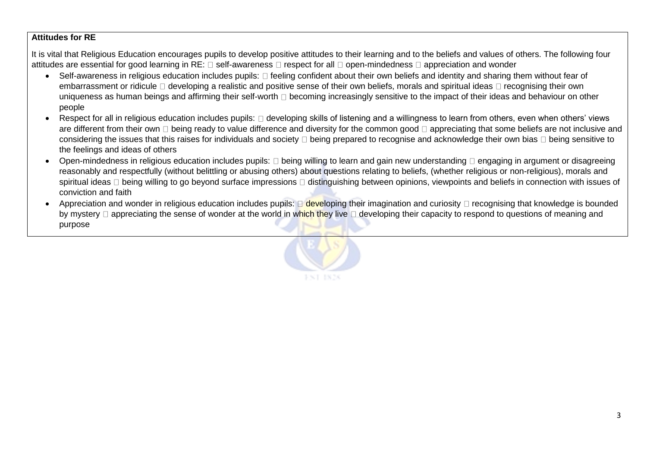#### **Attitudes for RE**

It is vital that Religious Education encourages pupils to develop positive attitudes to their learning and to the beliefs and values of others. The following four attitudes are essential for good learning in RE:  $\Box$  self-awareness  $\Box$  respect for all  $\Box$  open-mindedness  $\Box$  appreciation and wonder

- Self-awareness in religious education includes pupils:  $\Box$  feeling confident about their own beliefs and identity and sharing them without fear of embarrassment or ridicule  $\Box$  developing a realistic and positive sense of their own beliefs, morals and spiritual ideas  $\Box$  recognising their own uniqueness as human beings and affirming their self-worth  $\Box$  becoming increasingly sensitive to the impact of their ideas and behaviour on other people
- Respect for all in religious education includes pupils:  $\Box$  developing skills of listening and a willingness to learn from others, even when others' views are different from their own  $\Box$  being ready to value difference and diversity for the common good  $\Box$  appreciating that some beliefs are not inclusive and considering the issues that this raises for individuals and society  $\Box$  being prepared to recognise and acknowledge their own bias  $\Box$  being sensitive to the feelings and ideas of others
- Open-mindedness in religious education includes pupils:  $\Box$  being willing to learn and gain new understanding  $\Box$  engaging in argument or disagreeing reasonably and respectfully (without belittling or abusing others) about questions relating to beliefs, (whether religious or non-religious), morals and spiritual ideas  $\Box$  being willing to go beyond surface impressions  $\Box$  distinguishing between opinions, viewpoints and beliefs in connection with issues of conviction and faith
- Appreciation and wonder in religious education includes pupils:  $\Box$  developing their imagination and curiosity  $\Box$  recognising that knowledge is bounded by mystery  $\Box$  appreciating the sense of wonder at the world in which they live  $\Box$  developing their capacity to respond to questions of meaning and purpose

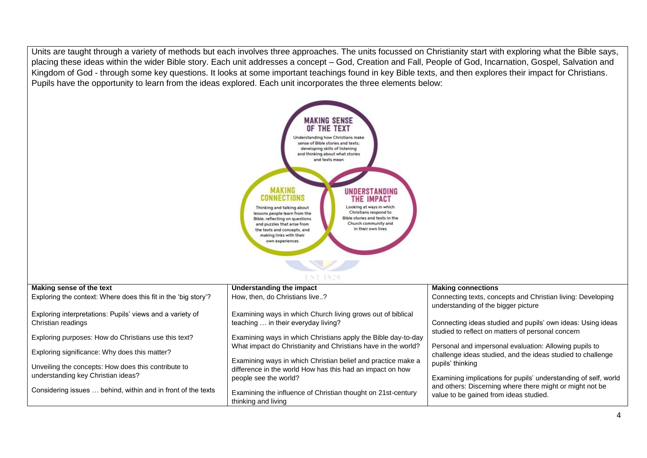Units are taught through a variety of methods but each involves three approaches. The units focussed on Christianity start with exploring what the Bible says, placing these ideas within the wider Bible story. Each unit addresses a concept – God, Creation and Fall, People of God, Incarnation, Gospel, Salvation and Kingdom of God - through some key questions. It looks at some important teachings found in key Bible texts, and then explores their impact for Christians. Pupils have the opportunity to learn from the ideas explored. Each unit incorporates the three elements below:

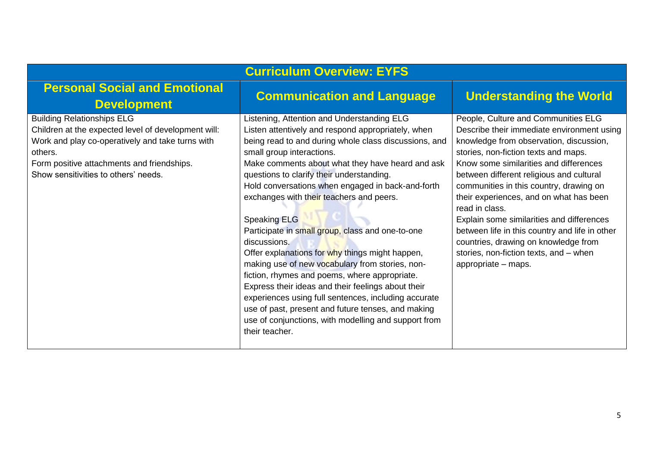| <b>Curriculum Overview: EYFS</b>                                                                                                                                                                                                              |                                                                                                                                                                                                                                                                                                                                                                                                                                                                                                                                                                                                                                                                                                                                                                                                                                                                                          |                                                                                                                                                                                                                                                                                                                                                                                                                                                                                                                                                                            |  |  |  |  |
|-----------------------------------------------------------------------------------------------------------------------------------------------------------------------------------------------------------------------------------------------|------------------------------------------------------------------------------------------------------------------------------------------------------------------------------------------------------------------------------------------------------------------------------------------------------------------------------------------------------------------------------------------------------------------------------------------------------------------------------------------------------------------------------------------------------------------------------------------------------------------------------------------------------------------------------------------------------------------------------------------------------------------------------------------------------------------------------------------------------------------------------------------|----------------------------------------------------------------------------------------------------------------------------------------------------------------------------------------------------------------------------------------------------------------------------------------------------------------------------------------------------------------------------------------------------------------------------------------------------------------------------------------------------------------------------------------------------------------------------|--|--|--|--|
| <b>Personal Social and Emotional</b><br><b>Development</b>                                                                                                                                                                                    | <b>Communication and Language</b>                                                                                                                                                                                                                                                                                                                                                                                                                                                                                                                                                                                                                                                                                                                                                                                                                                                        | <b>Understanding the World</b>                                                                                                                                                                                                                                                                                                                                                                                                                                                                                                                                             |  |  |  |  |
| <b>Building Relationships ELG</b><br>Children at the expected level of development will:<br>Work and play co-operatively and take turns with<br>others.<br>Form positive attachments and friendships.<br>Show sensitivities to others' needs. | Listening, Attention and Understanding ELG<br>Listen attentively and respond appropriately, when<br>being read to and during whole class discussions, and<br>small group interactions.<br>Make comments about what they have heard and ask<br>questions to clarify their understanding.<br>Hold conversations when engaged in back-and-forth<br>exchanges with their teachers and peers.<br><b>Speaking ELG</b><br>Participate in small group, class and one-to-one<br>discussions.<br>Offer explanations for why things might happen,<br>making use of new vocabulary from stories, non-<br>fiction, rhymes and poems, where appropriate.<br>Express their ideas and their feelings about their<br>experiences using full sentences, including accurate<br>use of past, present and future tenses, and making<br>use of conjunctions, with modelling and support from<br>their teacher. | People, Culture and Communities ELG<br>Describe their immediate environment using<br>knowledge from observation, discussion,<br>stories, non-fiction texts and maps.<br>Know some similarities and differences<br>between different religious and cultural<br>communities in this country, drawing on<br>their experiences, and on what has been<br>read in class.<br>Explain some similarities and differences<br>between life in this country and life in other<br>countries, drawing on knowledge from<br>stories, non-fiction texts, and - when<br>appropriate - maps. |  |  |  |  |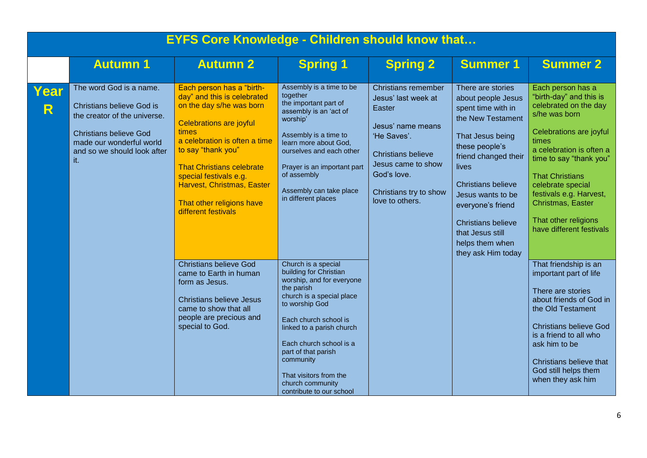|                     | <b>EYFS Core Knowledge - Children should know that</b>                                                                                                                                         |                                                                                                                                                                                                                                                                                                                                        |                                                                                                                                                                                                                                                                                                                                        |                                                                                                                                                                                                         |                    |                                                                                                                                                                                                                                                                                                                                      |  |  |
|---------------------|------------------------------------------------------------------------------------------------------------------------------------------------------------------------------------------------|----------------------------------------------------------------------------------------------------------------------------------------------------------------------------------------------------------------------------------------------------------------------------------------------------------------------------------------|----------------------------------------------------------------------------------------------------------------------------------------------------------------------------------------------------------------------------------------------------------------------------------------------------------------------------------------|---------------------------------------------------------------------------------------------------------------------------------------------------------------------------------------------------------|--------------------|--------------------------------------------------------------------------------------------------------------------------------------------------------------------------------------------------------------------------------------------------------------------------------------------------------------------------------------|--|--|
|                     | <b>Autumn 1</b>                                                                                                                                                                                | <b>Autumn 2</b>                                                                                                                                                                                                                                                                                                                        | <b>Spring 1</b>                                                                                                                                                                                                                                                                                                                        | <b>Spring 2</b>                                                                                                                                                                                         | <b>Summer 1</b>    | <b>Summer 2</b>                                                                                                                                                                                                                                                                                                                      |  |  |
| Year<br>$\mathsf R$ | The word God is a name.<br><b>Christians believe God is</b><br>the creator of the universe.<br><b>Christians believe God</b><br>made our wonderful world<br>and so we should look after<br>it. | Each person has a "birth-<br>day" and this is celebrated<br>on the day s/he was born<br><b>Celebrations are joyful</b><br>times<br>a celebration is often a time<br>to say "thank you"<br><b>That Christians celebrate</b><br>special festivals e.g.<br>Harvest, Christmas, Easter<br>That other religions have<br>different festivals | Assembly is a time to be<br>together<br>the important part of<br>assembly is an 'act of<br>worship'<br>Assembly is a time to<br>learn more about God,<br>ourselves and each other<br>Prayer is an important part<br>of assembly<br>Assembly can take place<br>in different places                                                      | Christians remember<br>Jesus' last week at<br>Easter<br>Jesus' name means<br>'He Saves'.<br><b>Christians believe</b><br>Jesus came to show<br>God's love.<br>Christians try to show<br>love to others. |                    | Each person has a<br>"birth-day" and this is<br>celebrated on the day<br>s/he was born<br>Celebrations are joyful<br>times<br>a celebration is often a<br>time to say "thank you"<br><b>That Christians</b><br>celebrate special<br>festivals e.g. Harvest,<br>Christmas, Easter<br>That other religions<br>have different festivals |  |  |
|                     |                                                                                                                                                                                                | <b>Christians believe God</b><br>came to Earth in human<br>form as Jesus.<br><b>Christians believe Jesus</b><br>came to show that all<br>people are precious and<br>special to God.                                                                                                                                                    | Church is a special<br>building for Christian<br>worship, and for everyone<br>the parish<br>church is a special place<br>to worship God<br>Each church school is<br>linked to a parish church<br>Each church school is a<br>part of that parish<br>community<br>That visitors from the<br>church community<br>contribute to our school |                                                                                                                                                                                                         | they ask Him today | That friendship is an<br>important part of life<br>There are stories<br>about friends of God in<br>the Old Testament<br><b>Christians believe God</b><br>is a friend to all who<br>ask him to be<br>Christians believe that<br>God still helps them<br>when they ask him                                                             |  |  |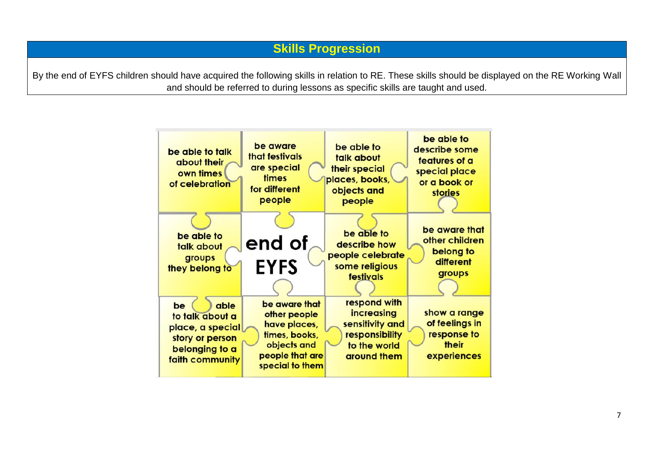By the end of EYFS children should have acquired the following skills in relation to RE. These skills should be displayed on the RE Working Wall and should be referred to during lessons as specific skills are taught and used.

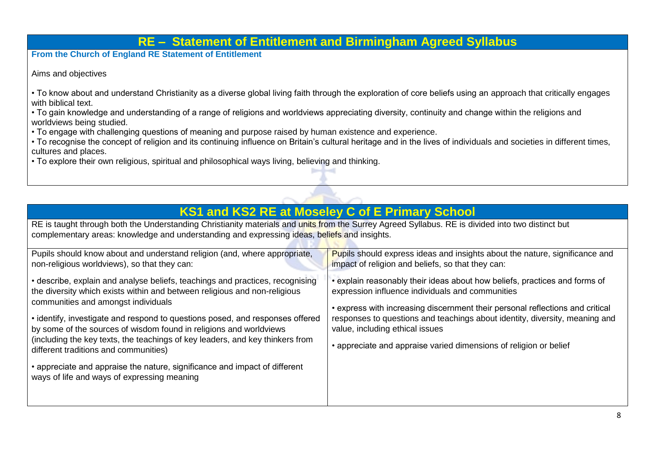### **RE – Statement of Entitlement and Birmingham Agreed Syllabus**

**From the Church of England RE Statement of Entitlement**

Aims and objectives

• To know about and understand Christianity as a diverse global living faith through the exploration of core beliefs using an approach that critically engages with biblical text.

• To gain knowledge and understanding of a range of religions and worldviews appreciating diversity, continuity and change within the religions and worldviews being studied.

• To engage with challenging questions of meaning and purpose raised by human existence and experience.

• To recognise the concept of religion and its continuing influence on Britain's cultural heritage and in the lives of individuals and societies in different times, cultures and places.

 $\sim$   $\sim$   $\sim$ 

• To explore their own religious, spiritual and philosophical ways living, believing and thinking.

| <b>KS1 and KS2 RE at Moseley C of E Primary School</b>                                                                                                                                                                                                                                                                                                                                                                                                                                                                                                                                                          |                                                                                                                                                                                                                                                                                                                                                                                                        |  |  |  |  |
|-----------------------------------------------------------------------------------------------------------------------------------------------------------------------------------------------------------------------------------------------------------------------------------------------------------------------------------------------------------------------------------------------------------------------------------------------------------------------------------------------------------------------------------------------------------------------------------------------------------------|--------------------------------------------------------------------------------------------------------------------------------------------------------------------------------------------------------------------------------------------------------------------------------------------------------------------------------------------------------------------------------------------------------|--|--|--|--|
| RE is taught through both the Understanding Christianity materials and units from the Surrey Agreed Syllabus. RE is divided into two distinct but<br>complementary areas: knowledge and understanding and expressing ideas, beliefs and insights.                                                                                                                                                                                                                                                                                                                                                               |                                                                                                                                                                                                                                                                                                                                                                                                        |  |  |  |  |
| Pupils should know about and understand religion (and, where appropriate,<br>non-religious worldviews), so that they can:                                                                                                                                                                                                                                                                                                                                                                                                                                                                                       | <b>Pupils should express ideas and insights about the nature, significance and</b><br>impact of religion and beliefs, so that they can:                                                                                                                                                                                                                                                                |  |  |  |  |
| • describe, explain and analyse beliefs, teachings and practices, recognising<br>the diversity which exists within and between religious and non-religious<br>communities and amongst individuals<br>• identify, investigate and respond to questions posed, and responses offered<br>by some of the sources of wisdom found in religions and worldviews<br>(including the key texts, the teachings of key leaders, and key thinkers from<br>different traditions and communities)<br>• appreciate and appraise the nature, significance and impact of different<br>ways of life and ways of expressing meaning | • explain reasonably their ideas about how beliefs, practices and forms of<br>expression influence individuals and communities<br>• express with increasing discernment their personal reflections and critical<br>responses to questions and teachings about identity, diversity, meaning and<br>value, including ethical issues<br>• appreciate and appraise varied dimensions of religion or belief |  |  |  |  |
|                                                                                                                                                                                                                                                                                                                                                                                                                                                                                                                                                                                                                 |                                                                                                                                                                                                                                                                                                                                                                                                        |  |  |  |  |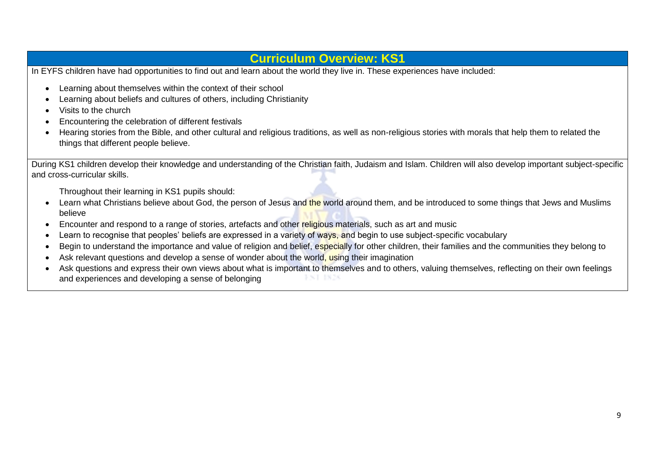## **Curriculum Overview: KS1**

In EYFS children have had opportunities to find out and learn about the world they live in. These experiences have included:

- Learning about themselves within the context of their school
- Learning about beliefs and cultures of others, including Christianity
- Visits to the church
- Encountering the celebration of different festivals
- Hearing stories from the Bible, and other cultural and religious traditions, as well as non-religious stories with morals that help them to related the things that different people believe.

During KS1 children develop their knowledge and understanding of the Christian faith, Judaism and Islam. Children will also develop important subject-specific and cross-curricular skills.

Throughout their learning in KS1 pupils should:

- Learn what Christians believe about God, the person of Jesus and the world around them, and be introduced to some things that Jews and Muslims believe
- Encounter and respond to a range of stories, artefacts and other religious materials, such as art and music
- Learn to recognise that peoples' beliefs are expressed in a variety of ways, and begin to use subject-specific vocabulary
- Begin to understand the importance and value of religion and belief, especially for other children, their families and the communities they belong to
- Ask relevant questions and develop a sense of wonder about the world, using their imagination
- Ask questions and express their own views about what is important to themselves and to others, valuing themselves, reflecting on their own feelings and experiences and developing a sense of belonging**JUNE 1876**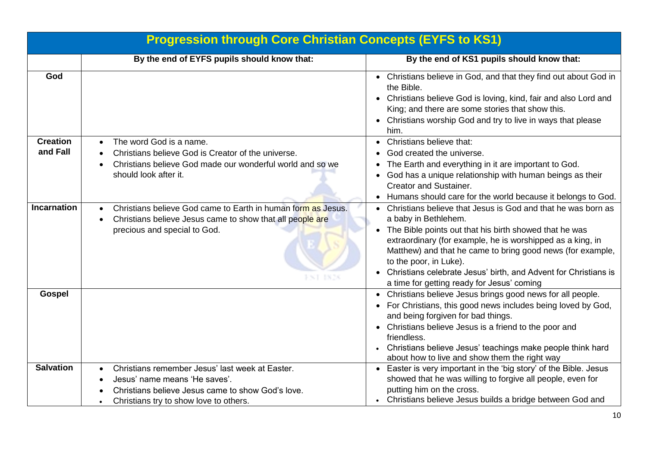|                             | <b>Progression through Core Christian Concepts (EYFS to KS1)</b>                                                                                                                             |                                                                                                                                                                                                                                                                                                                                                                                                                         |  |  |  |
|-----------------------------|----------------------------------------------------------------------------------------------------------------------------------------------------------------------------------------------|-------------------------------------------------------------------------------------------------------------------------------------------------------------------------------------------------------------------------------------------------------------------------------------------------------------------------------------------------------------------------------------------------------------------------|--|--|--|
|                             | By the end of EYFS pupils should know that:                                                                                                                                                  | By the end of KS1 pupils should know that:                                                                                                                                                                                                                                                                                                                                                                              |  |  |  |
| God                         |                                                                                                                                                                                              | • Christians believe in God, and that they find out about God in<br>the Bible.<br>Christians believe God is loving, kind, fair and also Lord and<br>$\bullet$<br>King; and there are some stories that show this.<br>Christians worship God and try to live in ways that please<br>him.                                                                                                                                 |  |  |  |
| <b>Creation</b><br>and Fall | The word God is a name.<br>$\bullet$<br>Christians believe God is Creator of the universe.<br>Christians believe God made our wonderful world and so we<br>should look after it.             | Christians believe that:<br>God created the universe.<br>The Earth and everything in it are important to God.<br>God has a unique relationship with human beings as their<br><b>Creator and Sustainer.</b><br>Humans should care for the world because it belongs to God.                                                                                                                                               |  |  |  |
| <b>Incarnation</b>          | Christians believe God came to Earth in human form as Jesus.<br>Christians believe Jesus came to show that all people are<br>precious and special to God.<br>FNT 1828                        | • Christians believe that Jesus is God and that he was born as<br>a baby in Bethlehem.<br>The Bible points out that his birth showed that he was<br>extraordinary (for example, he is worshipped as a king, in<br>Matthew) and that he came to bring good news (for example,<br>to the poor, in Luke).<br>Christians celebrate Jesus' birth, and Advent for Christians is<br>a time for getting ready for Jesus' coming |  |  |  |
| <b>Gospel</b>               |                                                                                                                                                                                              | • Christians believe Jesus brings good news for all people.<br>• For Christians, this good news includes being loved by God,<br>and being forgiven for bad things.<br>• Christians believe Jesus is a friend to the poor and<br>friendless.<br>• Christians believe Jesus' teachings make people think hard<br>about how to live and show them the right way                                                            |  |  |  |
| <b>Salvation</b>            | Christians remember Jesus' last week at Easter.<br>Jesus' name means 'He saves'.<br>Christians believe Jesus came to show God's love.<br>Christians try to show love to others.<br>$\bullet$ | • Easter is very important in the 'big story' of the Bible. Jesus<br>showed that he was willing to forgive all people, even for<br>putting him on the cross.<br>• Christians believe Jesus builds a bridge between God and                                                                                                                                                                                              |  |  |  |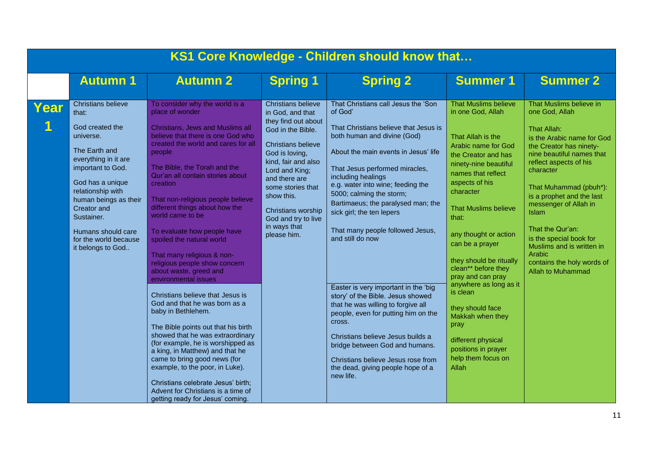|      | KS1 Core Knowledge - Children should know that                                                                                                                                                                                                                                                      |                                                                                                                                                                                                                                                                                                                                                                                                                                                                                                                                                                                                                                                                                                                                                                                                                                                                                                                                                                             |                                                                                                                                                                                                                                                                                                                   |                                                                                                                                                                                                                                                                                                                                                                                                                                                                                                                                                                                                                                                                                                                                                       |                                                                                                                                                                                                                                                                                                                                                                                                                                                                                                                                       |                                                                                                                                                                                                                                                                                                                                                                                                                                |  |  |
|------|-----------------------------------------------------------------------------------------------------------------------------------------------------------------------------------------------------------------------------------------------------------------------------------------------------|-----------------------------------------------------------------------------------------------------------------------------------------------------------------------------------------------------------------------------------------------------------------------------------------------------------------------------------------------------------------------------------------------------------------------------------------------------------------------------------------------------------------------------------------------------------------------------------------------------------------------------------------------------------------------------------------------------------------------------------------------------------------------------------------------------------------------------------------------------------------------------------------------------------------------------------------------------------------------------|-------------------------------------------------------------------------------------------------------------------------------------------------------------------------------------------------------------------------------------------------------------------------------------------------------------------|-------------------------------------------------------------------------------------------------------------------------------------------------------------------------------------------------------------------------------------------------------------------------------------------------------------------------------------------------------------------------------------------------------------------------------------------------------------------------------------------------------------------------------------------------------------------------------------------------------------------------------------------------------------------------------------------------------------------------------------------------------|---------------------------------------------------------------------------------------------------------------------------------------------------------------------------------------------------------------------------------------------------------------------------------------------------------------------------------------------------------------------------------------------------------------------------------------------------------------------------------------------------------------------------------------|--------------------------------------------------------------------------------------------------------------------------------------------------------------------------------------------------------------------------------------------------------------------------------------------------------------------------------------------------------------------------------------------------------------------------------|--|--|
|      | <b>Autumn 1</b>                                                                                                                                                                                                                                                                                     | <b>Autumn 2</b>                                                                                                                                                                                                                                                                                                                                                                                                                                                                                                                                                                                                                                                                                                                                                                                                                                                                                                                                                             | <b>Spring 1</b>                                                                                                                                                                                                                                                                                                   | <b>Spring 2</b>                                                                                                                                                                                                                                                                                                                                                                                                                                                                                                                                                                                                                                                                                                                                       | <b>Summer 1</b>                                                                                                                                                                                                                                                                                                                                                                                                                                                                                                                       | <b>Summer 2</b>                                                                                                                                                                                                                                                                                                                                                                                                                |  |  |
| Year | <b>Christians believe</b><br>that:<br>God created the<br>universe.<br>The Earth and<br>everything in it are<br>important to God.<br>God has a unique<br>relationship with<br>human beings as their<br>Creator and<br>Sustainer.<br>Humans should care<br>for the world because<br>it belongs to God | To consider why the world is a<br>place of wonder<br><b>Christians, Jews and Muslims all</b><br>believe that there is one God who<br>created the world and cares for all<br>people<br>The Bible, the Torah and the<br>Qur'an all contain stories about<br>creation<br>That non-religious people believe<br>different things about how the<br>world came to be<br>To evaluate how people have<br>spoiled the natural world<br>That many religious & non-<br>religious people show concern<br>about waste, greed and<br>environmental issues<br>Christians believe that Jesus is<br>God and that he was born as a<br>baby in Bethlehem.<br>The Bible points out that his birth<br>showed that he was extraordinary<br>(for example, he is worshipped as<br>a king, in Matthew) and that he<br>came to bring good news (for<br>example, to the poor, in Luke).<br>Christians celebrate Jesus' birth;<br>Advent for Christians is a time of<br>getting ready for Jesus' coming. | <b>Christians believe</b><br>in God, and that<br>they find out about<br>God in the Bible.<br><b>Christians believe</b><br>God is loving,<br>kind, fair and also<br>Lord and King;<br>and there are<br>some stories that<br>show this.<br>Christians worship<br>God and try to live<br>in ways that<br>please him. | That Christians call Jesus the 'Son<br>of God'<br>That Christians believe that Jesus is<br>both human and divine (God)<br>About the main events in Jesus' life<br>That Jesus performed miracles,<br>including healings<br>e.g. water into wine; feeding the<br>5000; calming the storm;<br>Bartimaeus; the paralysed man; the<br>sick girl; the ten lepers<br>That many people followed Jesus,<br>and still do now<br>Easter is very important in the 'big<br>story' of the Bible. Jesus showed<br>that he was willing to forgive all<br>people, even for putting him on the<br>cross.<br>Christians believe Jesus builds a<br>bridge between God and humans.<br>Christians believe Jesus rose from<br>the dead, giving people hope of a<br>new life. | <b>That Muslims believe</b><br>in one God, Allah<br>That Allah is the<br><b>Arabic name for God</b><br>the Creator and has<br>ninety-nine beautiful<br>names that reflect<br>aspects of his<br>character<br><b>That Muslims believe</b><br>that:<br>any thought or action<br>can be a prayer<br>they should be ritually<br>clean** before they<br>pray and can pray<br>anywhere as long as it<br>is clean<br>they should face<br>Makkah when they<br>pray<br>different physical<br>positions in prayer<br>help them focus on<br>Allah | That Muslims believe in<br>one God, Allah<br><b>That Allah:</b><br>is the Arabic name for God<br>the Creator has ninety-<br>nine beautiful names that<br>reflect aspects of his<br>character<br>That Muhammad (pbuh*):<br>is a prophet and the last<br>messenger of Allah in<br>Islam<br>That the Qur'an:<br>is the special book for<br>Muslims and is written in<br>Arabic<br>contains the holy words of<br>Allah to Muhammad |  |  |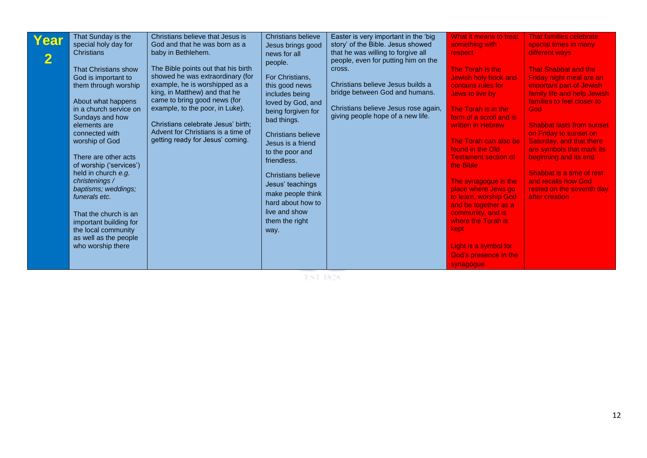| Year | That Sunday is the<br>special holy day for<br><b>Christians</b><br><b>That Christians show</b><br>God is important to<br>them through worship<br>About what happens<br>in a church service on<br>Sundays and how<br>elements are<br>connected with<br>worship of God<br>There are other acts<br>of worship ('services')<br>held in church e.g.<br>christenings /<br>baptisms; weddings;<br>funerals etc.<br>That the church is an<br>important building for<br>the local community<br>as well as the people<br>who worship there | Christians believe that Jesus is<br>God and that he was born as a<br>baby in Bethlehem.<br>The Bible points out that his birth<br>showed he was extraordinary (for<br>example, he is worshipped as a<br>king, in Matthew) and that he<br>came to bring good news (for<br>example, to the poor, in Luke).<br>Christians celebrate Jesus' birth;<br>Advent for Christians is a time of<br>getting ready for Jesus' coming. | Christians believe<br>Jesus brings good<br>news for all<br>people.<br>For Christians,<br>this good news<br>includes being<br>loved by God, and<br>being forgiven for<br>bad things.<br><b>Christians believe</b><br>Jesus is a friend<br>to the poor and<br>friendless.<br>Christians believe<br>Jesus' teachings<br>make people think<br>hard about how to<br>live and show<br>them the right<br>way. | Easter is very important in the 'big<br>story' of the Bible. Jesus showed<br>that he was willing to forgive all<br>people, even for putting him on the<br>cross.<br>Christians believe Jesus builds a<br>bridge between God and humans.<br>Christians believe Jesus rose again,<br>giving people hope of a new life. | What it means to treat<br>something with<br><b>respect</b><br>The Torah is the<br>Jewish holy book and<br>contains rules for<br>Jews to live by<br>The Torah is in the<br>form of a scroll and is<br>written in Hebrew<br>The Torah can also be<br>found in the Old<br><b>Testament section of</b><br>the Bible<br>The synagogue is the<br>place where Jews go<br>to learn, worship God<br>and be together as a<br>community, and is<br>where the Torah is<br>kept<br>Light is a symbol for<br>God's presence in the<br>synagogue | <b>That families celebrate</b><br>special times in many<br>different ways<br><b>That Shabbat and the</b><br>Friday night meal are an<br>important part of Jewish<br>family life and help Jewish<br>families to feel closer to<br>God<br><b>Shabbat lasts from sunset</b><br>on Friday to sunset on<br>Saturday, and that there<br>are symbols that mark its<br>beginning and its end<br>Shabbat is a time of rest<br>and recalls how God<br>rested on the seventh day<br>after creation |
|------|----------------------------------------------------------------------------------------------------------------------------------------------------------------------------------------------------------------------------------------------------------------------------------------------------------------------------------------------------------------------------------------------------------------------------------------------------------------------------------------------------------------------------------|--------------------------------------------------------------------------------------------------------------------------------------------------------------------------------------------------------------------------------------------------------------------------------------------------------------------------------------------------------------------------------------------------------------------------|--------------------------------------------------------------------------------------------------------------------------------------------------------------------------------------------------------------------------------------------------------------------------------------------------------------------------------------------------------------------------------------------------------|----------------------------------------------------------------------------------------------------------------------------------------------------------------------------------------------------------------------------------------------------------------------------------------------------------------------|-----------------------------------------------------------------------------------------------------------------------------------------------------------------------------------------------------------------------------------------------------------------------------------------------------------------------------------------------------------------------------------------------------------------------------------------------------------------------------------------------------------------------------------|-----------------------------------------------------------------------------------------------------------------------------------------------------------------------------------------------------------------------------------------------------------------------------------------------------------------------------------------------------------------------------------------------------------------------------------------------------------------------------------------|
|------|----------------------------------------------------------------------------------------------------------------------------------------------------------------------------------------------------------------------------------------------------------------------------------------------------------------------------------------------------------------------------------------------------------------------------------------------------------------------------------------------------------------------------------|--------------------------------------------------------------------------------------------------------------------------------------------------------------------------------------------------------------------------------------------------------------------------------------------------------------------------------------------------------------------------------------------------------------------------|--------------------------------------------------------------------------------------------------------------------------------------------------------------------------------------------------------------------------------------------------------------------------------------------------------------------------------------------------------------------------------------------------------|----------------------------------------------------------------------------------------------------------------------------------------------------------------------------------------------------------------------------------------------------------------------------------------------------------------------|-----------------------------------------------------------------------------------------------------------------------------------------------------------------------------------------------------------------------------------------------------------------------------------------------------------------------------------------------------------------------------------------------------------------------------------------------------------------------------------------------------------------------------------|-----------------------------------------------------------------------------------------------------------------------------------------------------------------------------------------------------------------------------------------------------------------------------------------------------------------------------------------------------------------------------------------------------------------------------------------------------------------------------------------|

 $\rm FST$  1828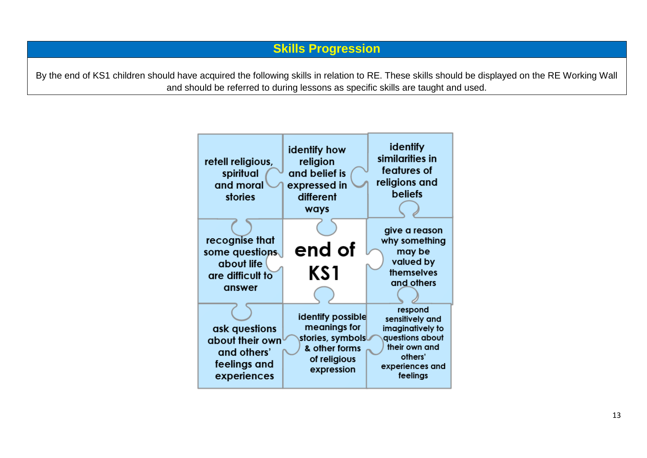By the end of KS1 children should have acquired the following skills in relation to RE. These skills should be displayed on the RE Working Wall and should be referred to during lessons as specific skills are taught and used.

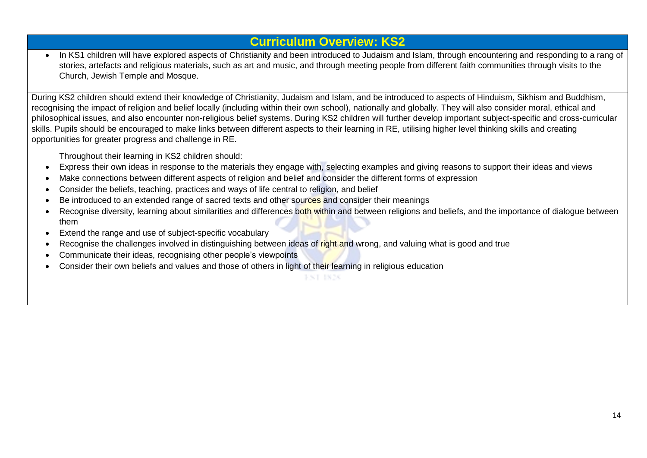### **Curriculum Overview: KS2**

 In KS1 children will have explored aspects of Christianity and been introduced to Judaism and Islam, through encountering and responding to a rang of stories, artefacts and religious materials, such as art and music, and through meeting people from different faith communities through visits to the Church, Jewish Temple and Mosque.

During KS2 children should extend their knowledge of Christianity, Judaism and Islam, and be introduced to aspects of Hinduism, Sikhism and Buddhism, recognising the impact of religion and belief locally (including within their own school), nationally and globally. They will also consider moral, ethical and philosophical issues, and also encounter non-religious belief systems. During KS2 children will further develop important subject-specific and cross-curricular skills. Pupils should be encouraged to make links between different aspects to their learning in RE, utilising higher level thinking skills and creating opportunities for greater progress and challenge in RE.

Throughout their learning in KS2 children should:

- Express their own ideas in response to the materials they engage with, selecting examples and giving reasons to support their ideas and views
- Make connections between different aspects of religion and belief and consider the different forms of expression
- Consider the beliefs, teaching, practices and ways of life central to religion, and belief
- Be introduced to an extended range of sacred texts and other sources and consider their meanings
- Recognise diversity, learning about similarities and differences both within and between religions and beliefs, and the importance of dialogue between them
- Extend the range and use of subject-specific vocabulary
- Recognise the challenges involved in distinguishing between ideas of right and wrong, and valuing what is good and true
- Communicate their ideas, recognising other people's viewpoints
- Consider their own beliefs and values and those of others in light of their learning in religious education

**FNT IN26**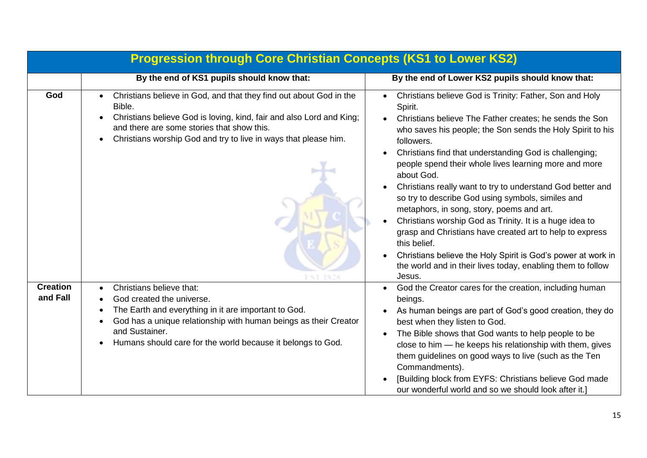|                             | <b>Progression through Core Christian Concepts (KS1 to Lower KS2)</b>                                                                                                                                                                                                                                     |                                                                                                                                                                                                                                                                                                                                                                                                                                                                                                                                                                                                                                                                                                                                                                                            |
|-----------------------------|-----------------------------------------------------------------------------------------------------------------------------------------------------------------------------------------------------------------------------------------------------------------------------------------------------------|--------------------------------------------------------------------------------------------------------------------------------------------------------------------------------------------------------------------------------------------------------------------------------------------------------------------------------------------------------------------------------------------------------------------------------------------------------------------------------------------------------------------------------------------------------------------------------------------------------------------------------------------------------------------------------------------------------------------------------------------------------------------------------------------|
|                             | By the end of KS1 pupils should know that:                                                                                                                                                                                                                                                                | By the end of Lower KS2 pupils should know that:                                                                                                                                                                                                                                                                                                                                                                                                                                                                                                                                                                                                                                                                                                                                           |
| God                         | Christians believe in God, and that they find out about God in the<br>Bible.<br>Christians believe God is loving, kind, fair and also Lord and King;<br>and there are some stories that show this.<br>Christians worship God and try to live in ways that please him.<br>$\bullet$                        | Christians believe God is Trinity: Father, Son and Holy<br>Spirit.<br>Christians believe The Father creates; he sends the Son<br>who saves his people; the Son sends the Holy Spirit to his<br>followers.<br>Christians find that understanding God is challenging;<br>people spend their whole lives learning more and more<br>about God.<br>Christians really want to try to understand God better and<br>so try to describe God using symbols, similes and<br>metaphors, in song, story, poems and art.<br>Christians worship God as Trinity. It is a huge idea to<br>grasp and Christians have created art to help to express<br>this belief.<br>Christians believe the Holy Spirit is God's power at work in<br>the world and in their lives today, enabling them to follow<br>Jesus. |
| <b>Creation</b><br>and Fall | Christians believe that:<br>$\bullet$<br>God created the universe.<br>$\bullet$<br>The Earth and everything in it are important to God.<br>God has a unique relationship with human beings as their Creator<br>$\bullet$<br>and Sustainer.<br>Humans should care for the world because it belongs to God. | God the Creator cares for the creation, including human<br>beings.<br>As human beings are part of God's good creation, they do<br>best when they listen to God.<br>The Bible shows that God wants to help people to be<br>close to him - he keeps his relationship with them, gives<br>them guidelines on good ways to live (such as the Ten<br>Commandments).<br>[Building block from EYFS: Christians believe God made<br>our wonderful world and so we should look after it.]                                                                                                                                                                                                                                                                                                           |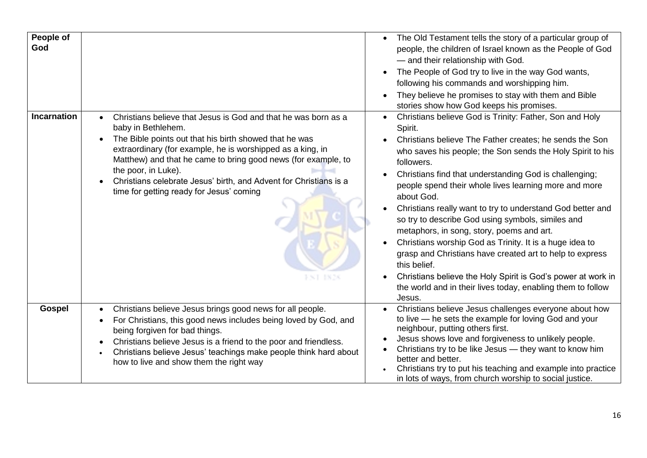| People of<br>God   |                                                                                                                                                                                                                                                                                                                                                                                                                                        | The Old Testament tells the story of a particular group of<br>people, the children of Israel known as the People of God<br>- and their relationship with God.<br>The People of God try to live in the way God wants,<br>following his commands and worshipping him.<br>They believe he promises to stay with them and Bible<br>stories show how God keeps his promises.                                                                                                                                                                                                                                                                                                                                                                                                                    |
|--------------------|----------------------------------------------------------------------------------------------------------------------------------------------------------------------------------------------------------------------------------------------------------------------------------------------------------------------------------------------------------------------------------------------------------------------------------------|--------------------------------------------------------------------------------------------------------------------------------------------------------------------------------------------------------------------------------------------------------------------------------------------------------------------------------------------------------------------------------------------------------------------------------------------------------------------------------------------------------------------------------------------------------------------------------------------------------------------------------------------------------------------------------------------------------------------------------------------------------------------------------------------|
| <b>Incarnation</b> | Christians believe that Jesus is God and that he was born as a<br>baby in Bethlehem.<br>The Bible points out that his birth showed that he was<br>extraordinary (for example, he is worshipped as a king, in<br>Matthew) and that he came to bring good news (for example, to<br>the poor, in Luke).<br>Christians celebrate Jesus' birth, and Advent for Christians is a<br>time for getting ready for Jesus' coming<br>1828<br>F ST. | Christians believe God is Trinity: Father, Son and Holy<br>Spirit.<br>Christians believe The Father creates; he sends the Son<br>who saves his people; the Son sends the Holy Spirit to his<br>followers.<br>Christians find that understanding God is challenging;<br>people spend their whole lives learning more and more<br>about God.<br>Christians really want to try to understand God better and<br>so try to describe God using symbols, similes and<br>metaphors, in song, story, poems and art.<br>Christians worship God as Trinity. It is a huge idea to<br>grasp and Christians have created art to help to express<br>this belief.<br>Christians believe the Holy Spirit is God's power at work in<br>the world and in their lives today, enabling them to follow<br>Jesus. |
| <b>Gospel</b>      | Christians believe Jesus brings good news for all people.<br>For Christians, this good news includes being loved by God, and<br>being forgiven for bad things.<br>Christians believe Jesus is a friend to the poor and friendless.<br>Christians believe Jesus' teachings make people think hard about<br>how to live and show them the right way                                                                                      | Christians believe Jesus challenges everyone about how<br>to live - he sets the example for loving God and your<br>neighbour, putting others first.<br>Jesus shows love and forgiveness to unlikely people.<br>Christians try to be like Jesus - they want to know him<br>better and better.<br>Christians try to put his teaching and example into practice<br>in lots of ways, from church worship to social justice.                                                                                                                                                                                                                                                                                                                                                                    |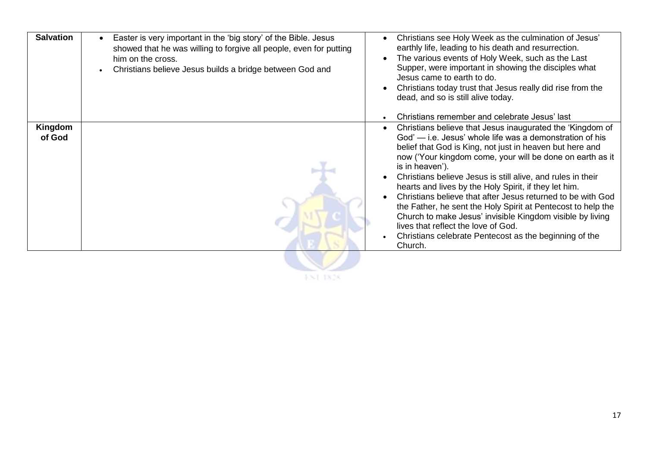| <b>Salvation</b><br>Easter is very important in the 'big story' of the Bible. Jesus<br>showed that he was willing to forgive all people, even for putting<br>him on the cross.<br>Christians believe Jesus builds a bridge between God and | Christians see Holy Week as the culmination of Jesus'<br>earthly life, leading to his death and resurrection.<br>The various events of Holy Week, such as the Last<br>Supper, were important in showing the disciples what<br>Jesus came to earth to do.<br>Christians today trust that Jesus really did rise from the<br>dead, and so is still alive today.<br>Christians remember and celebrate Jesus' last                                                                                                                                                                                                                                                                                     |
|--------------------------------------------------------------------------------------------------------------------------------------------------------------------------------------------------------------------------------------------|---------------------------------------------------------------------------------------------------------------------------------------------------------------------------------------------------------------------------------------------------------------------------------------------------------------------------------------------------------------------------------------------------------------------------------------------------------------------------------------------------------------------------------------------------------------------------------------------------------------------------------------------------------------------------------------------------|
| Kingdom<br>of God                                                                                                                                                                                                                          | Christians believe that Jesus inaugurated the 'Kingdom of<br>God' - i.e. Jesus' whole life was a demonstration of his<br>belief that God is King, not just in heaven but here and<br>now ('Your kingdom come, your will be done on earth as it<br>is in heaven').<br>Christians believe Jesus is still alive, and rules in their<br>hearts and lives by the Holy Spirit, if they let him.<br>Christians believe that after Jesus returned to be with God<br>the Father, he sent the Holy Spirit at Pentecost to help the<br>Church to make Jesus' invisible Kingdom visible by living<br>lives that reflect the love of God.<br>Christians celebrate Pentecost as the beginning of the<br>Church. |

**FST IN28**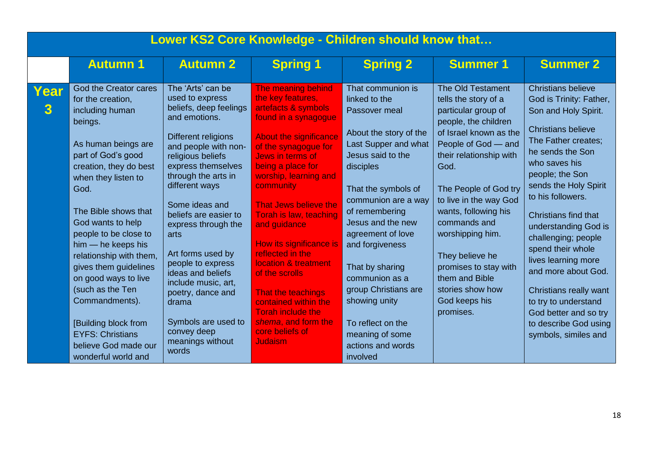|           | Lower KS2 Core Knowledge - Children should know that                                                                                                                                                                                                                                                                                                                                                                                                                                             |                                                                                                                                                                                                                                                                                                                                                                                                                                                                                     |                                                                                                                                                                                                                                                                                                                                                                                                                                                                                                                                  |                                                                                                                                                                                                                                                                                                                                                                                                                             |                                                                                                                                                                                                                                                                                                                                                                                                             |                                                                                                                                                                                                                                                                                                                                                                                                                                                                                                              |  |  |
|-----------|--------------------------------------------------------------------------------------------------------------------------------------------------------------------------------------------------------------------------------------------------------------------------------------------------------------------------------------------------------------------------------------------------------------------------------------------------------------------------------------------------|-------------------------------------------------------------------------------------------------------------------------------------------------------------------------------------------------------------------------------------------------------------------------------------------------------------------------------------------------------------------------------------------------------------------------------------------------------------------------------------|----------------------------------------------------------------------------------------------------------------------------------------------------------------------------------------------------------------------------------------------------------------------------------------------------------------------------------------------------------------------------------------------------------------------------------------------------------------------------------------------------------------------------------|-----------------------------------------------------------------------------------------------------------------------------------------------------------------------------------------------------------------------------------------------------------------------------------------------------------------------------------------------------------------------------------------------------------------------------|-------------------------------------------------------------------------------------------------------------------------------------------------------------------------------------------------------------------------------------------------------------------------------------------------------------------------------------------------------------------------------------------------------------|--------------------------------------------------------------------------------------------------------------------------------------------------------------------------------------------------------------------------------------------------------------------------------------------------------------------------------------------------------------------------------------------------------------------------------------------------------------------------------------------------------------|--|--|
|           | <b>Autumn 1</b>                                                                                                                                                                                                                                                                                                                                                                                                                                                                                  | <b>Autumn 2</b>                                                                                                                                                                                                                                                                                                                                                                                                                                                                     | <b>Spring 1</b>                                                                                                                                                                                                                                                                                                                                                                                                                                                                                                                  | <b>Spring 2</b>                                                                                                                                                                                                                                                                                                                                                                                                             | <b>Summer 1</b>                                                                                                                                                                                                                                                                                                                                                                                             | <b>Summer 2</b>                                                                                                                                                                                                                                                                                                                                                                                                                                                                                              |  |  |
| Year<br>3 | God the Creator cares<br>for the creation,<br>including human<br>beings.<br>As human beings are<br>part of God's good<br>creation, they do best<br>when they listen to<br>God.<br>The Bible shows that<br>God wants to help<br>people to be close to<br>$him - he keeps his$<br>relationship with them,<br>gives them guidelines<br>on good ways to live<br>(such as the Ten<br>Commandments).<br>[Building block from<br><b>EYFS: Christians</b><br>believe God made our<br>wonderful world and | The 'Arts' can be<br>used to express<br>beliefs, deep feelings<br>and emotions.<br>Different religions<br>and people with non-<br>religious beliefs<br>express themselves<br>through the arts in<br>different ways<br>Some ideas and<br>beliefs are easier to<br>express through the<br>arts<br>Art forms used by<br>people to express<br>ideas and beliefs<br>include music, art,<br>poetry, dance and<br>drama<br>Symbols are used to<br>convey deep<br>meanings without<br>words | The meaning behind<br>the key features,<br>artefacts & symbols<br>found in a synagogue<br><b>About the significance</b><br>of the synagogue for<br>Jews in terms of<br>being a place for<br>worship, learning and<br>community<br>That Jews believe the<br>Torah is law, teaching<br>and guidance<br>How its significance is<br>reflected in the<br>location & treatment<br>of the scrolls<br>That the teachings<br>contained within the<br><b>Torah include the</b><br>shema, and form the<br>core beliefs of<br><b>Judaism</b> | That communion is<br>linked to the<br>Passover meal<br>About the story of the<br>Last Supper and what<br>Jesus said to the<br>disciples<br>That the symbols of<br>communion are a way<br>of remembering<br>Jesus and the new<br>agreement of love<br>and forgiveness<br>That by sharing<br>communion as a<br>group Christians are<br>showing unity<br>To reflect on the<br>meaning of some<br>actions and words<br>involved | The Old Testament<br>tells the story of a<br>particular group of<br>people, the children<br>of Israel known as the<br>People of God - and<br>their relationship with<br>God.<br>The People of God try<br>to live in the way God<br>wants, following his<br>commands and<br>worshipping him.<br>They believe he<br>promises to stay with<br>them and Bible<br>stories show how<br>God keeps his<br>promises. | <b>Christians believe</b><br>God is Trinity: Father,<br>Son and Holy Spirit.<br><b>Christians believe</b><br>The Father creates;<br>he sends the Son<br>who saves his<br>people; the Son<br>sends the Holy Spirit<br>to his followers.<br>Christians find that<br>understanding God is<br>challenging; people<br>spend their whole<br>lives learning more<br>and more about God.<br>Christians really want<br>to try to understand<br>God better and so try<br>to describe God using<br>symbols, similes and |  |  |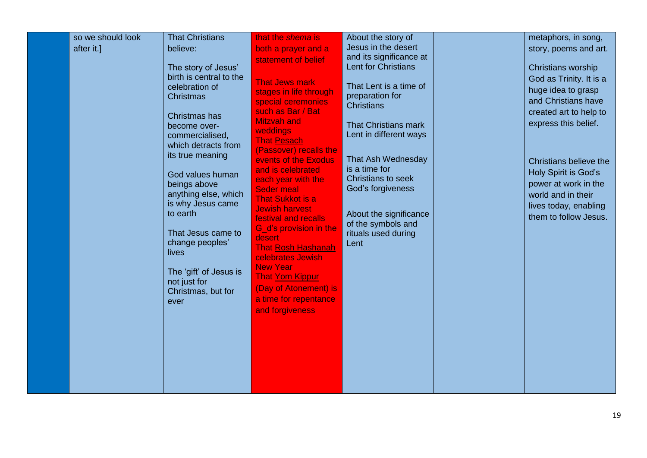|  | after it.] | believe:<br>The story of Jesus'<br>birth is central to the<br>celebration of<br><b>Christmas</b><br>Christmas has<br>become over-<br>commercialised,<br>which detracts from<br>its true meaning<br>God values human<br>beings above<br>anything else, which<br>is why Jesus came<br>to earth<br>That Jesus came to<br>change peoples'<br><b>lives</b><br>The 'gift' of Jesus is<br>not just for<br>Christmas, but for<br>ever | both a prayer and a<br>statement of belief<br><b>That Jews mark</b><br>stages in life through<br>special ceremonies<br>such as Bar / Bat<br><b>Mitzvah and</b><br>weddings<br><b>That Pesach</b><br>(Passover) recalls the<br>events of the Exodus<br>and is celebrated<br>each year with the<br><b>Seder meal</b><br>That Sukkot is a<br><b>Jewish harvest</b><br>festival and recalls<br>G d's provision in the<br>desert<br><b>That Rosh Hashanah</b><br>celebrates Jewish<br><b>New Year</b><br><b>That Yom Kippur</b><br>(Day of Atonement) is<br>a time for repentance<br>and forgiveness | Jesus in the desert<br>and its significance at<br><b>Lent for Christians</b><br>That Lent is a time of<br>preparation for<br><b>Christians</b><br><b>That Christians mark</b><br>Lent in different ways<br>That Ash Wednesday<br>is a time for<br>Christians to seek<br>God's forgiveness<br>About the significance<br>of the symbols and<br>rituals used during<br>Lent |  | story, poems and art.<br>Christians worship<br>God as Trinity. It is a<br>huge idea to grasp<br>and Christians have<br>created art to help to<br>express this belief.<br>Christians believe the<br>Holy Spirit is God's<br>power at work in the<br>world and in their<br>lives today, enabling<br>them to follow Jesus. |
|--|------------|-------------------------------------------------------------------------------------------------------------------------------------------------------------------------------------------------------------------------------------------------------------------------------------------------------------------------------------------------------------------------------------------------------------------------------|-------------------------------------------------------------------------------------------------------------------------------------------------------------------------------------------------------------------------------------------------------------------------------------------------------------------------------------------------------------------------------------------------------------------------------------------------------------------------------------------------------------------------------------------------------------------------------------------------|--------------------------------------------------------------------------------------------------------------------------------------------------------------------------------------------------------------------------------------------------------------------------------------------------------------------------------------------------------------------------|--|-------------------------------------------------------------------------------------------------------------------------------------------------------------------------------------------------------------------------------------------------------------------------------------------------------------------------|
|--|------------|-------------------------------------------------------------------------------------------------------------------------------------------------------------------------------------------------------------------------------------------------------------------------------------------------------------------------------------------------------------------------------------------------------------------------------|-------------------------------------------------------------------------------------------------------------------------------------------------------------------------------------------------------------------------------------------------------------------------------------------------------------------------------------------------------------------------------------------------------------------------------------------------------------------------------------------------------------------------------------------------------------------------------------------------|--------------------------------------------------------------------------------------------------------------------------------------------------------------------------------------------------------------------------------------------------------------------------------------------------------------------------------------------------------------------------|--|-------------------------------------------------------------------------------------------------------------------------------------------------------------------------------------------------------------------------------------------------------------------------------------------------------------------------|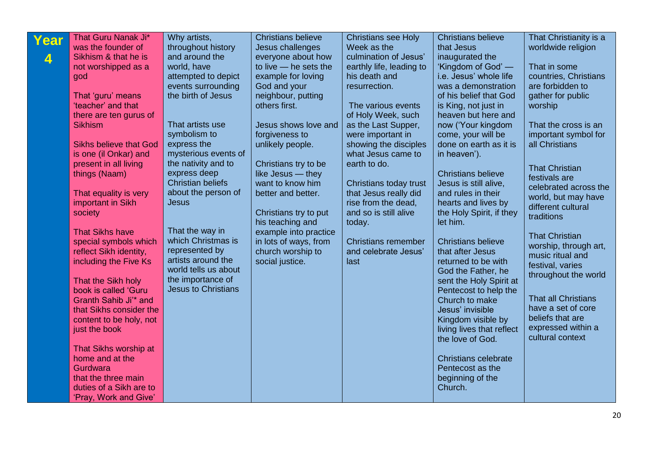| That Guru Nanak Ji*<br>Year<br>was the founder of<br>Sikhism & that he is<br>4                                                                                                                                                                                                                                                                                                                                                                                                                                                                                                                                                                                        | Why artists,<br>throughout history<br>and around the                                                                                                                                                                                                                                                                                                                                                                            | <b>Christians believe</b><br>Jesus challenges<br>everyone about how                                                                                                                                                                                                                                                                                                                            | <b>Christians see Holy</b><br>Week as the<br>culmination of Jesus'                                                                                                                                                                                                                                                                                                                           | <b>Christians believe</b><br>that Jesus<br>inaugurated the                                                                                                                                                                                                                                                                                                                                                                                                                                                                                                                                                                                                                                                                     | That Christianity is a<br>worldwide religion                                                                                                                                                                                                                                                                                                                                                                                                                                                                                  |
|-----------------------------------------------------------------------------------------------------------------------------------------------------------------------------------------------------------------------------------------------------------------------------------------------------------------------------------------------------------------------------------------------------------------------------------------------------------------------------------------------------------------------------------------------------------------------------------------------------------------------------------------------------------------------|---------------------------------------------------------------------------------------------------------------------------------------------------------------------------------------------------------------------------------------------------------------------------------------------------------------------------------------------------------------------------------------------------------------------------------|------------------------------------------------------------------------------------------------------------------------------------------------------------------------------------------------------------------------------------------------------------------------------------------------------------------------------------------------------------------------------------------------|----------------------------------------------------------------------------------------------------------------------------------------------------------------------------------------------------------------------------------------------------------------------------------------------------------------------------------------------------------------------------------------------|--------------------------------------------------------------------------------------------------------------------------------------------------------------------------------------------------------------------------------------------------------------------------------------------------------------------------------------------------------------------------------------------------------------------------------------------------------------------------------------------------------------------------------------------------------------------------------------------------------------------------------------------------------------------------------------------------------------------------------|-------------------------------------------------------------------------------------------------------------------------------------------------------------------------------------------------------------------------------------------------------------------------------------------------------------------------------------------------------------------------------------------------------------------------------------------------------------------------------------------------------------------------------|
| not worshipped as a<br>god<br>That 'guru' means<br>'teacher' and that<br>there are ten gurus of<br><b>Sikhism</b><br><b>Sikhs believe that God</b><br>is one (il Onkar) and<br>present in all living<br>things (Naam)<br>That equality is very<br>important in Sikh<br>society<br><b>That Sikhs have</b><br>special symbols which<br>reflect Sikh identity,<br>including the Five Ks<br>That the Sikh holy<br>book is called 'Guru<br>Granth Sahib Ji'* and<br>that Sikhs consider the<br>content to be holy, not<br>just the book<br>That Sikhs worship at<br>home and at the<br>Gurdwara<br>that the three main<br>duties of a Sikh are to<br>'Pray, Work and Give' | world, have<br>attempted to depict<br>events surrounding<br>the birth of Jesus<br>That artists use<br>symbolism to<br>express the<br>mysterious events of<br>the nativity and to<br>express deep<br><b>Christian beliefs</b><br>about the person of<br><b>Jesus</b><br>That the way in<br>which Christmas is<br>represented by<br>artists around the<br>world tells us about<br>the importance of<br><b>Jesus to Christians</b> | to live - he sets the<br>example for loving<br>God and your<br>neighbour, putting<br>others first.<br>Jesus shows love and<br>forgiveness to<br>unlikely people.<br>Christians try to be<br>like Jesus - they<br>want to know him<br>better and better.<br>Christians try to put<br>his teaching and<br>example into practice<br>in lots of ways, from<br>church worship to<br>social justice. | earthly life, leading to<br>his death and<br>resurrection.<br>The various events<br>of Holy Week, such<br>as the Last Supper,<br>were important in<br>showing the disciples<br>what Jesus came to<br>earth to do.<br>Christians today trust<br>that Jesus really did<br>rise from the dead,<br>and so is still alive<br>today.<br><b>Christians remember</b><br>and celebrate Jesus'<br>last | 'Kingdom of God' —<br>i.e. Jesus' whole life<br>was a demonstration<br>of his belief that God<br>is King, not just in<br>heaven but here and<br>now ('Your kingdom<br>come, your will be<br>done on earth as it is<br>in heaven').<br><b>Christians believe</b><br>Jesus is still alive,<br>and rules in their<br>hearts and lives by<br>the Holy Spirit, if they<br>let him.<br><b>Christians believe</b><br>that after Jesus<br>returned to be with<br>God the Father, he<br>sent the Holy Spirit at<br>Pentecost to help the<br>Church to make<br>Jesus' invisible<br>Kingdom visible by<br>living lives that reflect<br>the love of God.<br><b>Christians celebrate</b><br>Pentecost as the<br>beginning of the<br>Church. | That in some<br>countries, Christians<br>are forbidden to<br>gather for public<br>worship<br>That the cross is an<br>important symbol for<br>all Christians<br><b>That Christian</b><br>festivals are<br>celebrated across the<br>world, but may have<br>different cultural<br>traditions<br><b>That Christian</b><br>worship, through art,<br>music ritual and<br>festival, varies<br>throughout the world<br><b>That all Christians</b><br>have a set of core<br>beliefs that are<br>expressed within a<br>cultural context |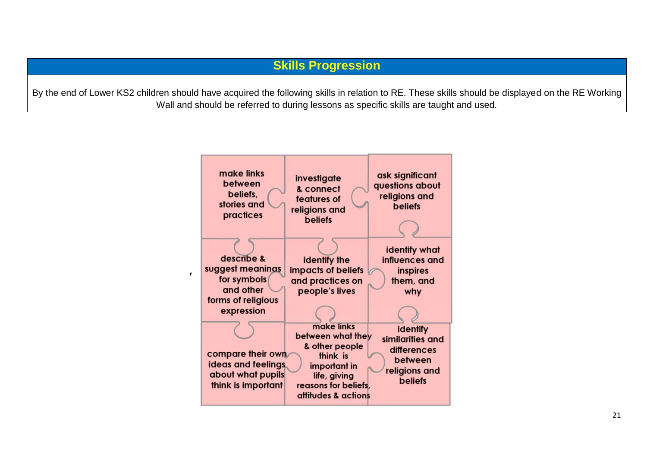By the end of Lower KS2 children should have acquired the following skills in relation to RE. These skills should be displayed on the RE Working Wall and should be referred to during lessons as specific skills are taught and used.

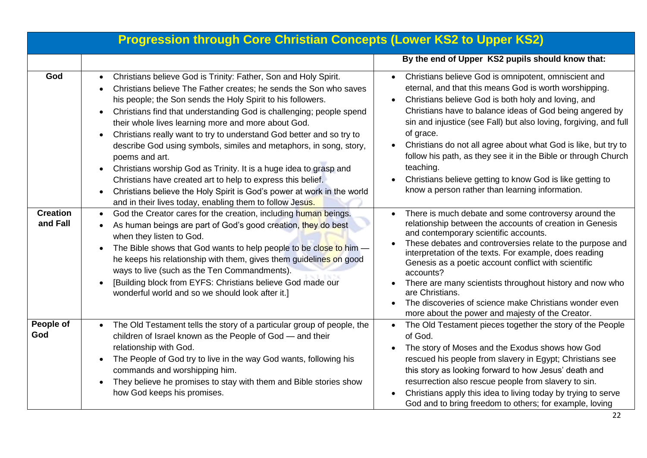|                             | <b>Progression through Core Christian Concepts (Lower KS2 to Upper KS2)</b>                                                                                                                                                                                                                                                                                                                                                                                                                                                                                                                                                                                                                                                                                                                           |                                                                                                                                                                                                                                                                                                                                                                                                                                                                                                                                                                                      |
|-----------------------------|-------------------------------------------------------------------------------------------------------------------------------------------------------------------------------------------------------------------------------------------------------------------------------------------------------------------------------------------------------------------------------------------------------------------------------------------------------------------------------------------------------------------------------------------------------------------------------------------------------------------------------------------------------------------------------------------------------------------------------------------------------------------------------------------------------|--------------------------------------------------------------------------------------------------------------------------------------------------------------------------------------------------------------------------------------------------------------------------------------------------------------------------------------------------------------------------------------------------------------------------------------------------------------------------------------------------------------------------------------------------------------------------------------|
|                             |                                                                                                                                                                                                                                                                                                                                                                                                                                                                                                                                                                                                                                                                                                                                                                                                       | By the end of Upper KS2 pupils should know that:                                                                                                                                                                                                                                                                                                                                                                                                                                                                                                                                     |
| God                         | Christians believe God is Trinity: Father, Son and Holy Spirit.<br>Christians believe The Father creates; he sends the Son who saves<br>his people; the Son sends the Holy Spirit to his followers.<br>Christians find that understanding God is challenging; people spend<br>their whole lives learning more and more about God.<br>Christians really want to try to understand God better and so try to<br>$\bullet$<br>describe God using symbols, similes and metaphors, in song, story,<br>poems and art.<br>Christians worship God as Trinity. It is a huge idea to grasp and<br>$\bullet$<br>Christians have created art to help to express this belief.<br>Christians believe the Holy Spirit is God's power at work in the world<br>and in their lives today, enabling them to follow Jesus. | Christians believe God is omnipotent, omniscient and<br>eternal, and that this means God is worth worshipping.<br>Christians believe God is both holy and loving, and<br>Christians have to balance ideas of God being angered by<br>sin and injustice (see Fall) but also loving, forgiving, and full<br>of grace.<br>Christians do not all agree about what God is like, but try to<br>follow his path, as they see it in the Bible or through Church<br>teaching.<br>Christians believe getting to know God is like getting to<br>know a person rather than learning information. |
| <b>Creation</b><br>and Fall | God the Creator cares for the creation, including human beings.<br>$\bullet$<br>As human beings are part of God's good creation, they do best<br>when they listen to God.<br>The Bible shows that God wants to help people to be close to him -<br>he keeps his relationship with them, gives them guidelines on good<br>ways to live (such as the Ten Commandments).<br>[Building block from EYFS: Christians believe God made our<br>wonderful world and so we should look after it.]                                                                                                                                                                                                                                                                                                               | There is much debate and some controversy around the<br>relationship between the accounts of creation in Genesis<br>and contemporary scientific accounts.<br>These debates and controversies relate to the purpose and<br>interpretation of the texts. For example, does reading<br>Genesis as a poetic account conflict with scientific<br>accounts?<br>There are many scientists throughout history and now who<br>are Christians.<br>The discoveries of science make Christians wonder even<br>more about the power and majesty of the Creator.                                   |
| People of<br>God            | The Old Testament tells the story of a particular group of people, the<br>children of Israel known as the People of God - and their<br>relationship with God.<br>The People of God try to live in the way God wants, following his<br>$\bullet$<br>commands and worshipping him.<br>They believe he promises to stay with them and Bible stories show<br>$\bullet$<br>how God keeps his promises.                                                                                                                                                                                                                                                                                                                                                                                                     | The Old Testament pieces together the story of the People<br>of God.<br>The story of Moses and the Exodus shows how God<br>rescued his people from slavery in Egypt; Christians see<br>this story as looking forward to how Jesus' death and<br>resurrection also rescue people from slavery to sin.<br>Christians apply this idea to living today by trying to serve<br>God and to bring freedom to others; for example, loving                                                                                                                                                     |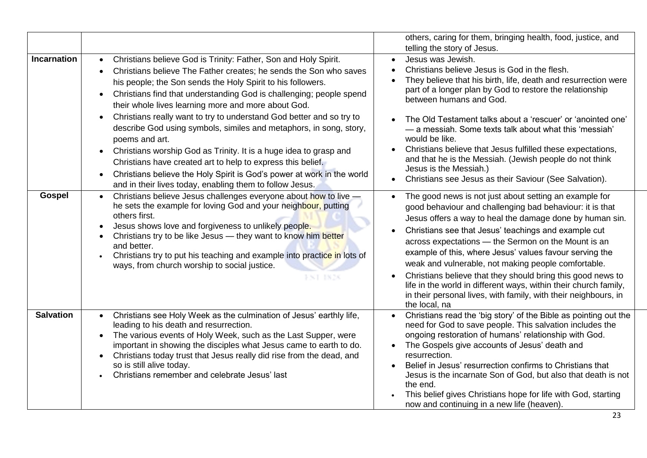|                    |                                                                                                                                                                                                                                                                                                                                                                                                                                                                                                                                                                                                                                                                                                                                                                                                                                                           | others, caring for them, bringing health, food, justice, and<br>telling the story of Jesus.                                                                                                                                                                                                                                                                                                                                                                                                                                                                                                                                                         |
|--------------------|-----------------------------------------------------------------------------------------------------------------------------------------------------------------------------------------------------------------------------------------------------------------------------------------------------------------------------------------------------------------------------------------------------------------------------------------------------------------------------------------------------------------------------------------------------------------------------------------------------------------------------------------------------------------------------------------------------------------------------------------------------------------------------------------------------------------------------------------------------------|-----------------------------------------------------------------------------------------------------------------------------------------------------------------------------------------------------------------------------------------------------------------------------------------------------------------------------------------------------------------------------------------------------------------------------------------------------------------------------------------------------------------------------------------------------------------------------------------------------------------------------------------------------|
| <b>Incarnation</b> | Christians believe God is Trinity: Father, Son and Holy Spirit.<br>$\bullet$<br>Christians believe The Father creates; he sends the Son who saves<br>$\bullet$<br>his people; the Son sends the Holy Spirit to his followers.<br>Christians find that understanding God is challenging; people spend<br>$\bullet$<br>their whole lives learning more and more about God.<br>Christians really want to try to understand God better and so try to<br>$\bullet$<br>describe God using symbols, similes and metaphors, in song, story,<br>poems and art.<br>Christians worship God as Trinity. It is a huge idea to grasp and<br>$\bullet$<br>Christians have created art to help to express this belief.<br>Christians believe the Holy Spirit is God's power at work in the world<br>$\bullet$<br>and in their lives today, enabling them to follow Jesus. | Jesus was Jewish.<br>Christians believe Jesus is God in the flesh.<br>They believe that his birth, life, death and resurrection were<br>part of a longer plan by God to restore the relationship<br>between humans and God.<br>The Old Testament talks about a 'rescuer' or 'anointed one'<br>- a messiah. Some texts talk about what this 'messiah'<br>would be like.<br>Christians believe that Jesus fulfilled these expectations,<br>and that he is the Messiah. (Jewish people do not think<br>Jesus is the Messiah.)<br>Christians see Jesus as their Saviour (See Salvation).                                                                |
| <b>Gospel</b>      | Christians believe Jesus challenges everyone about how to live -<br>$\bullet$<br>he sets the example for loving God and your neighbour, putting<br>others first.<br>Jesus shows love and forgiveness to unlikely people.<br>$\bullet$<br>Christians try to be like Jesus - they want to know him better<br>$\bullet$<br>and better.<br>Christians try to put his teaching and example into practice in lots of<br>ways, from church worship to social justice.<br>FNT 1826                                                                                                                                                                                                                                                                                                                                                                                | The good news is not just about setting an example for<br>$\bullet$<br>good behaviour and challenging bad behaviour: it is that<br>Jesus offers a way to heal the damage done by human sin.<br>Christians see that Jesus' teachings and example cut<br>across expectations - the Sermon on the Mount is an<br>example of this, where Jesus' values favour serving the<br>weak and vulnerable, not making people comfortable.<br>Christians believe that they should bring this good news to<br>life in the world in different ways, within their church family,<br>in their personal lives, with family, with their neighbours, in<br>the local, na |
| <b>Salvation</b>   | Christians see Holy Week as the culmination of Jesus' earthly life,<br>$\bullet$<br>leading to his death and resurrection.<br>The various events of Holy Week, such as the Last Supper, were<br>important in showing the disciples what Jesus came to earth to do.<br>Christians today trust that Jesus really did rise from the dead, and<br>so is still alive today.<br>Christians remember and celebrate Jesus' last                                                                                                                                                                                                                                                                                                                                                                                                                                   | Christians read the 'big story' of the Bible as pointing out the<br>need for God to save people. This salvation includes the<br>ongoing restoration of humans' relationship with God.<br>The Gospels give accounts of Jesus' death and<br>resurrection.<br>Belief in Jesus' resurrection confirms to Christians that<br>Jesus is the incarnate Son of God, but also that death is not<br>the end.<br>This belief gives Christians hope for life with God, starting<br>now and continuing in a new life (heaven).                                                                                                                                    |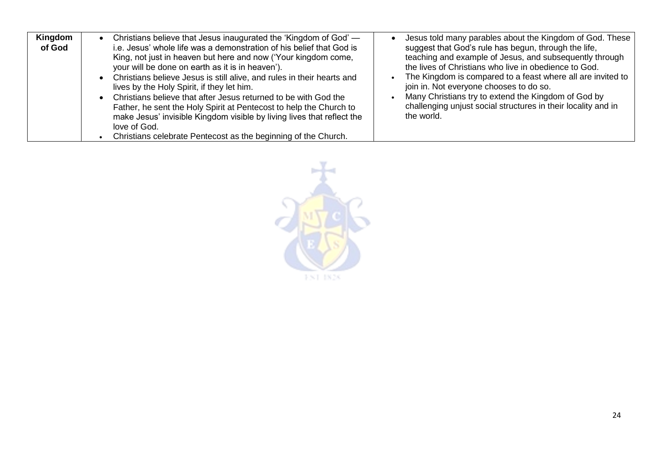| Kingdom | Christians believe that Jesus inaugurated the 'Kingdom of God' —                                                                                                                                                                                                                                                                                                                                                                                                                                                                                                                                                        | Jesus told many parables about the Kingdom of God. These                                                                                                                                                                                                                                                                                                                                                                 |
|---------|-------------------------------------------------------------------------------------------------------------------------------------------------------------------------------------------------------------------------------------------------------------------------------------------------------------------------------------------------------------------------------------------------------------------------------------------------------------------------------------------------------------------------------------------------------------------------------------------------------------------------|--------------------------------------------------------------------------------------------------------------------------------------------------------------------------------------------------------------------------------------------------------------------------------------------------------------------------------------------------------------------------------------------------------------------------|
| of God  | i.e. Jesus' whole life was a demonstration of his belief that God is<br>King, not just in heaven but here and now ('Your kingdom come,<br>your will be done on earth as it is in heaven').<br>Christians believe Jesus is still alive, and rules in their hearts and<br>lives by the Holy Spirit, if they let him.<br>Christians believe that after Jesus returned to be with God the<br>Father, he sent the Holy Spirit at Pentecost to help the Church to<br>make Jesus' invisible Kingdom visible by living lives that reflect the<br>love of God.<br>Christians celebrate Pentecost as the beginning of the Church. | suggest that God's rule has begun, through the life,<br>teaching and example of Jesus, and subsequently through<br>the lives of Christians who live in obedience to God.<br>The Kingdom is compared to a feast where all are invited to<br>join in. Not everyone chooses to do so.<br>Many Christians try to extend the Kingdom of God by<br>challenging unjust social structures in their locality and in<br>the world. |

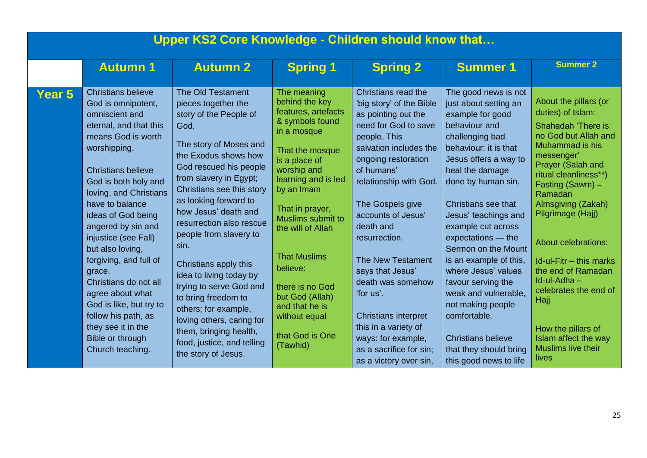| Upper KS2 Core Knowledge - Children should know that |                                                                                                                                                                                                                                                                                                                                                                                                                                                                                                                              |                                                                                                                                                                                                                                                                                                                                                                                                                                                                                                                                                                               |                                                                                                                                                                                                                                                                                                                                                                                        |                                                                                                                                                                                                                                                                                                                                                                                                                                                                                                     |                                                                                                                                                                                                                                                                                                                                                                                                                                                                                                                                         |                                                                                                                                                                                                                                                                                                                                                                                                                                                        |
|------------------------------------------------------|------------------------------------------------------------------------------------------------------------------------------------------------------------------------------------------------------------------------------------------------------------------------------------------------------------------------------------------------------------------------------------------------------------------------------------------------------------------------------------------------------------------------------|-------------------------------------------------------------------------------------------------------------------------------------------------------------------------------------------------------------------------------------------------------------------------------------------------------------------------------------------------------------------------------------------------------------------------------------------------------------------------------------------------------------------------------------------------------------------------------|----------------------------------------------------------------------------------------------------------------------------------------------------------------------------------------------------------------------------------------------------------------------------------------------------------------------------------------------------------------------------------------|-----------------------------------------------------------------------------------------------------------------------------------------------------------------------------------------------------------------------------------------------------------------------------------------------------------------------------------------------------------------------------------------------------------------------------------------------------------------------------------------------------|-----------------------------------------------------------------------------------------------------------------------------------------------------------------------------------------------------------------------------------------------------------------------------------------------------------------------------------------------------------------------------------------------------------------------------------------------------------------------------------------------------------------------------------------|--------------------------------------------------------------------------------------------------------------------------------------------------------------------------------------------------------------------------------------------------------------------------------------------------------------------------------------------------------------------------------------------------------------------------------------------------------|
|                                                      | <b>Autumn 1</b>                                                                                                                                                                                                                                                                                                                                                                                                                                                                                                              | <b>Autumn 2</b>                                                                                                                                                                                                                                                                                                                                                                                                                                                                                                                                                               | <b>Spring 1</b>                                                                                                                                                                                                                                                                                                                                                                        | <b>Spring 2</b>                                                                                                                                                                                                                                                                                                                                                                                                                                                                                     | <b>Summer 1</b>                                                                                                                                                                                                                                                                                                                                                                                                                                                                                                                         | <b>Summer 2</b>                                                                                                                                                                                                                                                                                                                                                                                                                                        |
| Year 5                                               | <b>Christians believe</b><br>God is omnipotent,<br>omniscient and<br>eternal, and that this<br>means God is worth<br>worshipping.<br><b>Christians believe</b><br>God is both holy and<br>loving, and Christians<br>have to balance<br>ideas of God being<br>angered by sin and<br>injustice (see Fall)<br>but also loving,<br>forgiving, and full of<br>grace.<br>Christians do not all<br>agree about what<br>God is like, but try to<br>follow his path, as<br>they see it in the<br>Bible or through<br>Church teaching. | <b>The Old Testament</b><br>pieces together the<br>story of the People of<br>God.<br>The story of Moses and<br>the Exodus shows how<br>God rescued his people<br>from slavery in Egypt;<br>Christians see this story<br>as looking forward to<br>how Jesus' death and<br>resurrection also rescue<br>people from slavery to<br>sin.<br>Christians apply this<br>idea to living today by<br>trying to serve God and<br>to bring freedom to<br>others; for example,<br>loving others, caring for<br>them, bringing health,<br>food, justice, and telling<br>the story of Jesus. | The meaning<br>behind the key<br>features, artefacts<br>& symbols found<br>in a mosque<br>That the mosque<br>is a place of<br>worship and<br>learning and is led<br>by an Imam<br>That in prayer,<br>Muslims submit to<br>the will of Allah<br><b>That Muslims</b><br>believe:<br>there is no God<br>but God (Allah)<br>and that he is<br>without equal<br>that God is One<br>(Tawhid) | Christians read the<br>'big story' of the Bible<br>as pointing out the<br>need for God to save<br>people. This<br>salvation includes the<br>ongoing restoration<br>of humans'<br>relationship with God.<br>The Gospels give<br>accounts of Jesus'<br>death and<br>resurrection.<br><b>The New Testament</b><br>says that Jesus'<br>death was somehow<br>'for us'.<br><b>Christians interpret</b><br>this in a variety of<br>ways: for example,<br>as a sacrifice for sin;<br>as a victory over sin, | The good news is not<br>just about setting an<br>example for good<br>behaviour and<br>challenging bad<br>behaviour: it is that<br>Jesus offers a way to<br>heal the damage<br>done by human sin.<br>Christians see that<br>Jesus' teachings and<br>example cut across<br>expectations - the<br>Sermon on the Mount<br>is an example of this,<br>where Jesus' values<br>favour serving the<br>weak and vulnerable,<br>not making people<br>comfortable.<br><b>Christians believe</b><br>that they should bring<br>this good news to life | About the pillars (or<br>duties) of Islam:<br>Shahadah 'There is<br>no God but Allah and<br>Muhammad is his<br>messenger'<br>Prayer (Salah and<br>ritual cleanliness**)<br>Fasting (Sawm) -<br>Ramadan<br>Almsgiving (Zakah)<br>Pilgrimage (Hajj)<br>About celebrations:<br>Id-ul-Fitr - this marks<br>the end of Ramadan<br>Id-ul-Adha-<br>celebrates the end of<br>Hajj<br>How the pillars of<br>Islam affect the way<br>Muslims live their<br>lives |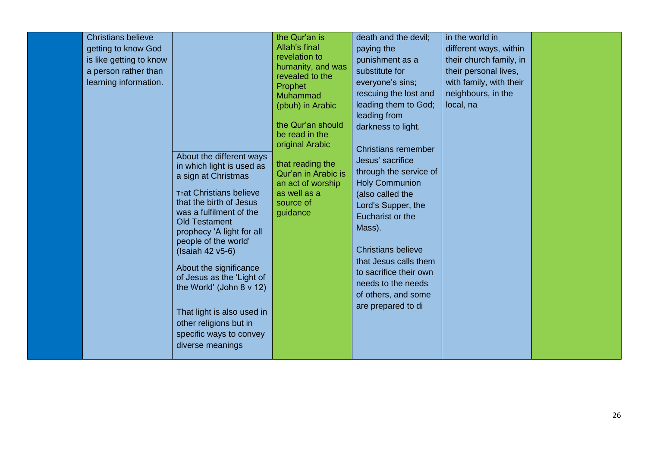| <b>Christians believe</b><br>getting to know God<br>is like getting to know<br>a person rather than<br>learning information. | About the different ways<br>in which light is used as<br>a sign at Christmas<br><b>That Christians believe</b><br>that the birth of Jesus<br>was a fulfilment of the<br><b>Old Testament</b><br>prophecy 'A light for all<br>people of the world'<br>(Isaiah 42 v5-6)<br>About the significance<br>of Jesus as the 'Light of<br>the World' (John $8 \vee 12$ )<br>That light is also used in<br>other religions but in<br>specific ways to convey<br>diverse meanings | the Qur'an is<br>Allah's final<br>revelation to<br>humanity, and was<br>revealed to the<br>Prophet<br>Muhammad<br>(pbuh) in Arabic<br>the Qur'an should<br>be read in the<br>original Arabic<br>that reading the<br>Qur'an in Arabic is<br>an act of worship<br>as well as a<br>source of<br>guidance | death and the devil;<br>paying the<br>punishment as a<br>substitute for<br>everyone's sins;<br>rescuing the lost and<br>leading them to God;<br>leading from<br>darkness to light.<br><b>Christians remember</b><br>Jesus' sacrifice<br>through the service of<br><b>Holy Communion</b><br>(also called the<br>Lord's Supper, the<br>Eucharist or the<br>Mass).<br><b>Christians believe</b><br>that Jesus calls them<br>to sacrifice their own<br>needs to the needs<br>of others, and some<br>are prepared to di | in the world in<br>different ways, within<br>their church family, in<br>their personal lives,<br>with family, with their<br>neighbours, in the<br>local, na |  |
|------------------------------------------------------------------------------------------------------------------------------|-----------------------------------------------------------------------------------------------------------------------------------------------------------------------------------------------------------------------------------------------------------------------------------------------------------------------------------------------------------------------------------------------------------------------------------------------------------------------|-------------------------------------------------------------------------------------------------------------------------------------------------------------------------------------------------------------------------------------------------------------------------------------------------------|--------------------------------------------------------------------------------------------------------------------------------------------------------------------------------------------------------------------------------------------------------------------------------------------------------------------------------------------------------------------------------------------------------------------------------------------------------------------------------------------------------------------|-------------------------------------------------------------------------------------------------------------------------------------------------------------|--|
|------------------------------------------------------------------------------------------------------------------------------|-----------------------------------------------------------------------------------------------------------------------------------------------------------------------------------------------------------------------------------------------------------------------------------------------------------------------------------------------------------------------------------------------------------------------------------------------------------------------|-------------------------------------------------------------------------------------------------------------------------------------------------------------------------------------------------------------------------------------------------------------------------------------------------------|--------------------------------------------------------------------------------------------------------------------------------------------------------------------------------------------------------------------------------------------------------------------------------------------------------------------------------------------------------------------------------------------------------------------------------------------------------------------------------------------------------------------|-------------------------------------------------------------------------------------------------------------------------------------------------------------|--|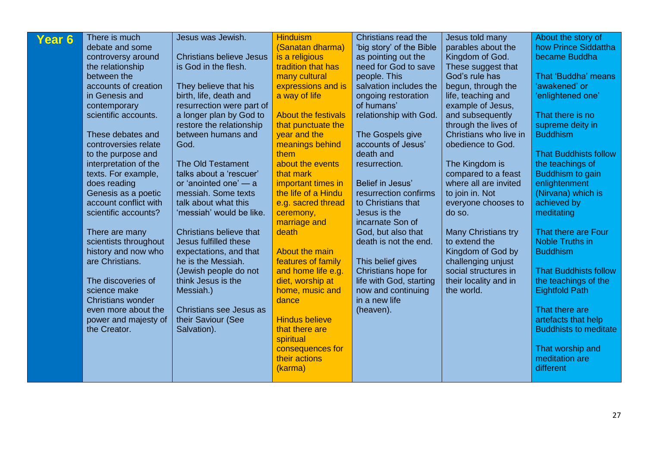| Year 6 | There is much                          | Jesus was Jewish.                            | <b>Hinduism</b>            | Christians read the                      | Jesus told many                            | About the story of                        |
|--------|----------------------------------------|----------------------------------------------|----------------------------|------------------------------------------|--------------------------------------------|-------------------------------------------|
|        | debate and some                        |                                              | (Sanatan dharma)           | 'big story' of the Bible                 | parables about the                         | how Prince Siddattha                      |
|        | controversy around                     | <b>Christians believe Jesus</b>              | is a religious             | as pointing out the                      | Kingdom of God.                            | became Buddha                             |
|        | the relationship                       | is God in the flesh.                         | tradition that has         | need for God to save                     | These suggest that                         |                                           |
|        | between the                            |                                              | many cultural              | people. This                             | God's rule has                             | That 'Buddha' means                       |
|        | accounts of creation                   | They believe that his                        | expressions and is         | salvation includes the                   | begun, through the                         | 'awakened' or                             |
|        | in Genesis and                         | birth, life, death and                       | a way of life              | ongoing restoration                      | life, teaching and                         | 'enlightened one'                         |
|        | contemporary                           | resurrection were part of                    |                            | of humans'                               | example of Jesus,                          |                                           |
|        | scientific accounts.                   | a longer plan by God to                      | <b>About the festivals</b> | relationship with God.                   | and subsequently                           | That there is no                          |
|        |                                        | restore the relationship                     | that punctuate the         |                                          | through the lives of                       | supreme deity in                          |
|        | These debates and                      | between humans and                           | year and the               | The Gospels give                         | Christians who live in                     | <b>Buddhism</b>                           |
|        | controversies relate                   | God.                                         | meanings behind            | accounts of Jesus'                       | obedience to God.                          |                                           |
|        | to the purpose and                     |                                              | them                       | death and                                |                                            | <b>That Buddhists follow</b>              |
|        | interpretation of the                  | The Old Testament                            | about the events           | resurrection.                            | The Kingdom is                             | the teachings of                          |
|        | texts. For example,                    | talks about a 'rescuer'                      | that mark                  |                                          | compared to a feast                        | Buddhism to gain                          |
|        | does reading                           | or 'anointed one' - a                        | important times in         | Belief in Jesus'                         | where all are invited                      | enlightenment                             |
|        | Genesis as a poetic                    | messiah. Some texts                          | the life of a Hindu        | resurrection confirms                    | to join in. Not                            | (Nirvana) which is                        |
|        | account conflict with                  | talk about what this                         | e.g. sacred thread         | to Christians that                       | everyone chooses to                        | achieved by                               |
|        | scientific accounts?                   | 'messiah' would be like.                     | ceremony,                  | Jesus is the                             | do so.                                     | meditating                                |
|        |                                        |                                              | marriage and               | incarnate Son of                         |                                            |                                           |
|        | There are many                         | Christians believe that                      | death                      | God, but also that                       | <b>Many Christians try</b>                 | That there are Four                       |
|        | scientists throughout                  | Jesus fulfilled these                        | About the main             | death is not the end.                    | to extend the                              | <b>Noble Truths in</b><br><b>Buddhism</b> |
|        | history and now who<br>are Christians. | expectations, and that<br>he is the Messiah. | features of family         |                                          | Kingdom of God by                          |                                           |
|        |                                        |                                              | and home life e.g.         | This belief gives<br>Christians hope for | challenging unjust<br>social structures in | <b>That Buddhists follow</b>              |
|        | The discoveries of                     | (Jewish people do not<br>think Jesus is the  | diet, worship at           | life with God, starting                  | their locality and in                      | the teachings of the                      |
|        | science make                           | Messiah.)                                    | home, music and            | now and continuing                       | the world.                                 | <b>Eightfold Path</b>                     |
|        | <b>Christians wonder</b>               |                                              | dance                      | in a new life                            |                                            |                                           |
|        | even more about the                    | Christians see Jesus as                      |                            | (heaven).                                |                                            | That there are                            |
|        | power and majesty of                   | their Saviour (See                           | <b>Hindus believe</b>      |                                          |                                            | artefacts that help                       |
|        | the Creator.                           | Salvation).                                  | that there are             |                                          |                                            | <b>Buddhists to meditate</b>              |
|        |                                        |                                              | spiritual                  |                                          |                                            |                                           |
|        |                                        |                                              | consequences for           |                                          |                                            | That worship and                          |
|        |                                        |                                              | their actions              |                                          |                                            | meditation are                            |
|        |                                        |                                              | (karma)                    |                                          |                                            | different                                 |
|        |                                        |                                              |                            |                                          |                                            |                                           |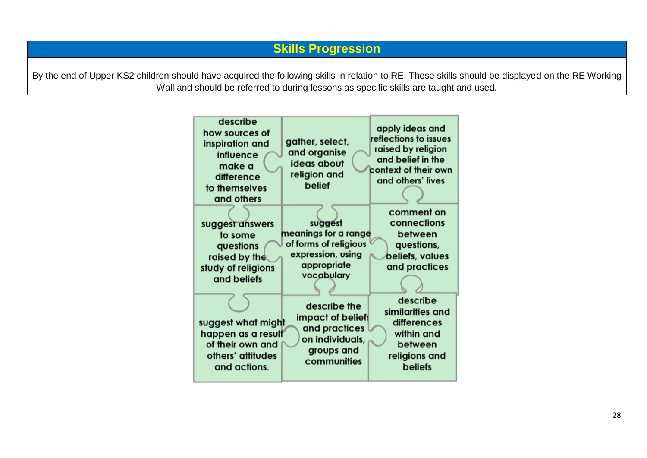By the end of Upper KS2 children should have acquired the following skills in relation to RE. These skills should be displayed on the RE Working Wall and should be referred to during lessons as specific skills are taught and used.

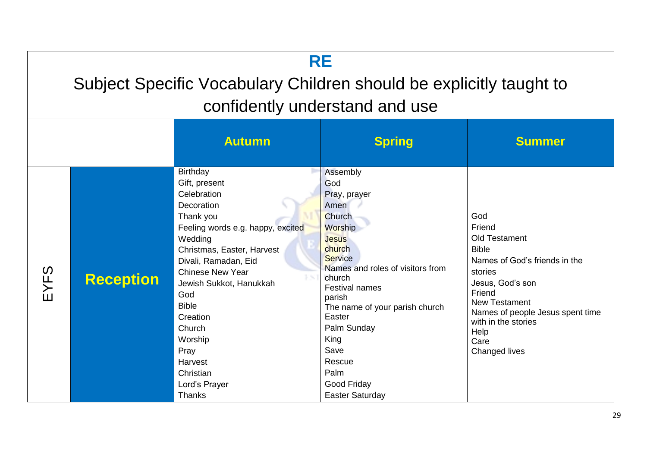# **RE**

# Subject Specific Vocabulary Children should be explicitly taught to confidently understand and use

|      |                  | <b>Autumn</b>                                                                                                                                                                                                                                                                                                                                             | <b>Spring</b>                                                                                                                                                                                                                                                                                                                   | <b>Summer</b>                                                                                                                                                                                                                                              |
|------|------------------|-----------------------------------------------------------------------------------------------------------------------------------------------------------------------------------------------------------------------------------------------------------------------------------------------------------------------------------------------------------|---------------------------------------------------------------------------------------------------------------------------------------------------------------------------------------------------------------------------------------------------------------------------------------------------------------------------------|------------------------------------------------------------------------------------------------------------------------------------------------------------------------------------------------------------------------------------------------------------|
| EYFS | <b>Reception</b> | Birthday<br>Gift, present<br>Celebration<br>Decoration<br>Thank you<br>Feeling words e.g. happy, excited<br>Wedding<br>Christmas, Easter, Harvest<br>Divali, Ramadan, Eid<br><b>Chinese New Year</b><br>Jewish Sukkot, Hanukkah<br>God<br><b>Bible</b><br>Creation<br>Church<br>Worship<br>Pray<br>Harvest<br>Christian<br>Lord's Prayer<br><b>Thanks</b> | Assembly<br>God<br>Pray, prayer<br>Amen<br>Church<br>Worship<br><b>Jesus</b><br>church<br><b>Service</b><br>Names and roles of visitors from<br>church<br><b>Festival names</b><br>parish<br>The name of your parish church<br>Easter<br>Palm Sunday<br>King<br>Save<br>Rescue<br>Palm<br>Good Friday<br><b>Easter Saturday</b> | God<br>Friend<br><b>Old Testament</b><br><b>Bible</b><br>Names of God's friends in the<br>stories<br>Jesus, God's son<br>Friend<br><b>New Testament</b><br>Names of people Jesus spent time<br>with in the stories<br>Help<br>Care<br><b>Changed lives</b> |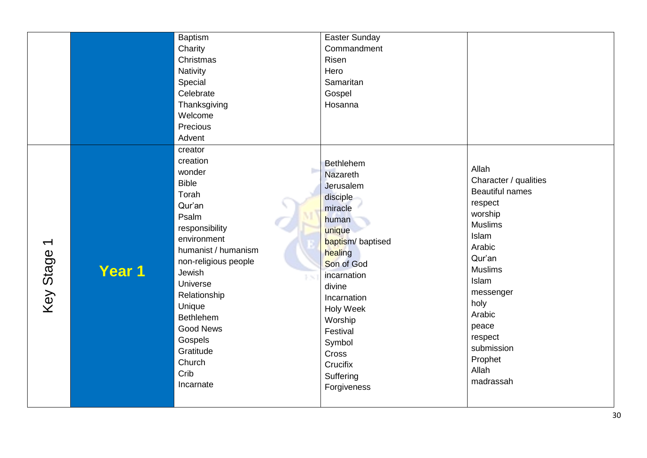|                                   |        | <b>Baptism</b><br>Charity<br>Christmas<br>Nativity<br>Special<br>Celebrate<br>Thanksgiving<br>Welcome<br>Precious<br>Advent<br>creator<br>creation<br>wonder<br><b>Bible</b><br>Torah<br>Qur'an                                              | <b>Easter Sunday</b><br>Commandment<br>Risen<br>Hero<br>Samaritan<br>Gospel<br>Hosanna<br>Bethlehem<br><b>Nazareth</b><br>Jerusalem<br>disciple<br>miracle                                                 | Allah<br>Character / qualities<br><b>Beautiful names</b><br>respect<br>worship                                                                                           |
|-----------------------------------|--------|----------------------------------------------------------------------------------------------------------------------------------------------------------------------------------------------------------------------------------------------|------------------------------------------------------------------------------------------------------------------------------------------------------------------------------------------------------------|--------------------------------------------------------------------------------------------------------------------------------------------------------------------------|
| $\blacktriangledown$<br>Key Stage | Year 1 | Psalm<br>responsibility<br>environment<br>humanist / humanism<br>non-religious people<br>Jewish<br>P SC<br>Universe<br>Relationship<br>Unique<br><b>Bethlehem</b><br><b>Good News</b><br>Gospels<br>Gratitude<br>Church<br>Crib<br>Incarnate | human<br>unique<br>baptism/baptised<br>healing<br>Son of God<br>incarnation<br>divine<br>Incarnation<br><b>Holy Week</b><br>Worship<br>Festival<br>Symbol<br>Cross<br>Crucifix<br>Suffering<br>Forgiveness | <b>Muslims</b><br>Islam<br>Arabic<br>Qur'an<br><b>Muslims</b><br>Islam<br>messenger<br>holy<br>Arabic<br>peace<br>respect<br>submission<br>Prophet<br>Allah<br>madrassah |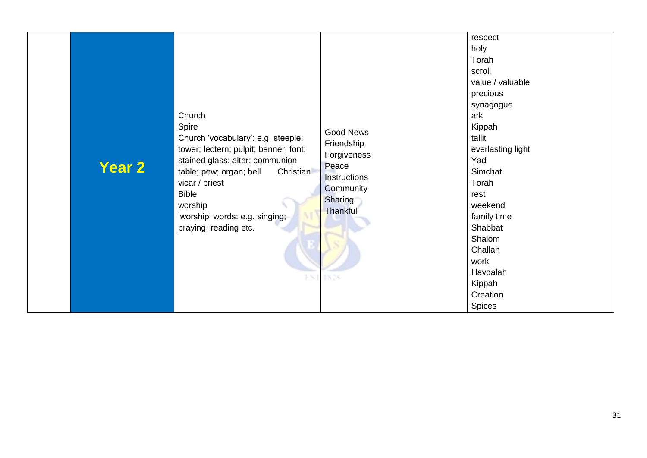| <b>Year 2</b> | Church<br>Spire<br>Church 'vocabulary': e.g. steeple;<br>tower; lectern; pulpit; banner; font;<br>stained glass; altar; communion<br><b>Christian</b><br>table; pew; organ; bell<br>vicar / priest<br><b>Bible</b><br>worship<br>'worship' words: e.g. singing;<br>praying; reading etc.<br>EST | <b>Good News</b><br>Friendship<br>Forgiveness<br>Peace<br>Instructions<br>Community<br>Sharing<br>Thankful<br>1828 | respect<br>holy<br>Torah<br>scroll<br>value / valuable<br>precious<br>synagogue<br>ark<br>Kippah<br>tallit<br>everlasting light<br>Yad<br>Simchat<br>Torah<br>rest<br>weekend<br>family time<br>Shabbat<br>Shalom<br>Challah<br>work<br>Havdalah<br>Kippah<br>Creation<br><b>Spices</b> |
|---------------|-------------------------------------------------------------------------------------------------------------------------------------------------------------------------------------------------------------------------------------------------------------------------------------------------|--------------------------------------------------------------------------------------------------------------------|-----------------------------------------------------------------------------------------------------------------------------------------------------------------------------------------------------------------------------------------------------------------------------------------|
|---------------|-------------------------------------------------------------------------------------------------------------------------------------------------------------------------------------------------------------------------------------------------------------------------------------------------|--------------------------------------------------------------------------------------------------------------------|-----------------------------------------------------------------------------------------------------------------------------------------------------------------------------------------------------------------------------------------------------------------------------------------|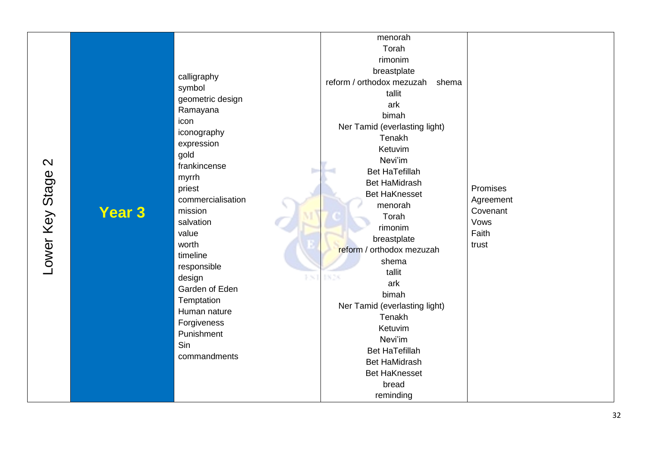**Year 3**

menorah Torah rimonim breastplate calligraphy reform / orthodox mezuzah shema symbol tallit geometric design ark Ramayana bimah icon Ner Tamid (everlasting light) iconography Tenakh expression Ketuvim gold Nevi'im frankincense Bet HaTefillah b. myrrh Bet HaMidrash Promises priest Bet HaKnesset commercialisation **Agreement** menorah mission Covenant Torah salvation Vows rimonim Faith value breastplate worth trustreform / orthodox mezuzah timeline shema responsible tallit design \$301 1826 ark Garden of Eden bimah **Temptation** Ner Tamid (everlasting light) Human nature Tenakh Forgiveness Ketuvim Punishment Nevi'im Sin Bet HaTefillah commandments Bet HaMidrash Bet HaKnesset bread reminding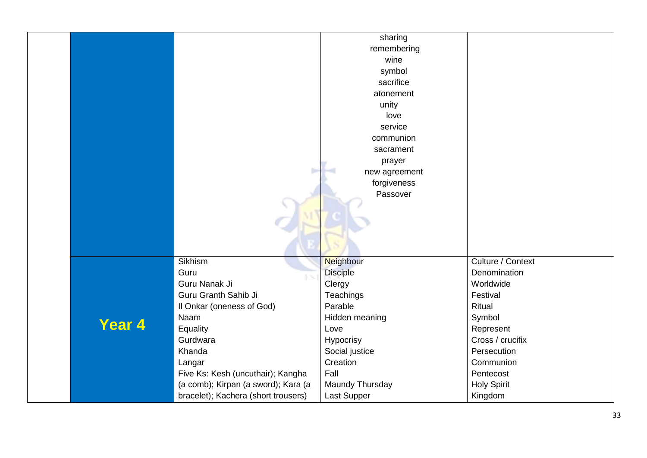|        |                                     | sharing         |                    |
|--------|-------------------------------------|-----------------|--------------------|
|        |                                     | remembering     |                    |
|        |                                     | wine            |                    |
|        |                                     | symbol          |                    |
|        |                                     | sacrifice       |                    |
|        |                                     | atonement       |                    |
|        |                                     | unity           |                    |
|        |                                     | love            |                    |
|        |                                     | service         |                    |
|        |                                     | communion       |                    |
|        |                                     | sacrament       |                    |
|        |                                     | prayer          |                    |
|        | D.                                  | new agreement   |                    |
|        |                                     | forgiveness     |                    |
|        |                                     | Passover        |                    |
|        |                                     |                 |                    |
|        |                                     |                 |                    |
|        |                                     |                 |                    |
|        |                                     |                 |                    |
|        |                                     |                 |                    |
|        | Sikhism                             | Neighbour       | Culture / Context  |
|        | Guru                                | <b>Disciple</b> | Denomination       |
|        | Guru Nanak Ji                       | Clergy          | Worldwide          |
|        | Guru Granth Sahib Ji                | Teachings       | Festival           |
|        | Il Onkar (oneness of God)           | Parable         | Ritual             |
|        | Naam                                | Hidden meaning  | Symbol             |
| Year 4 | Equality                            | Love            | Represent          |
|        | Gurdwara                            | Hypocrisy       | Cross / crucifix   |
|        | Khanda                              | Social justice  | Persecution        |
|        | Langar                              | Creation        | Communion          |
|        | Five Ks: Kesh (uncuthair); Kangha   | Fall            | Pentecost          |
|        | (a comb); Kirpan (a sword); Kara (a | Maundy Thursday | <b>Holy Spirit</b> |
|        | bracelet); Kachera (short trousers) | Last Supper     | Kingdom            |
|        |                                     |                 |                    |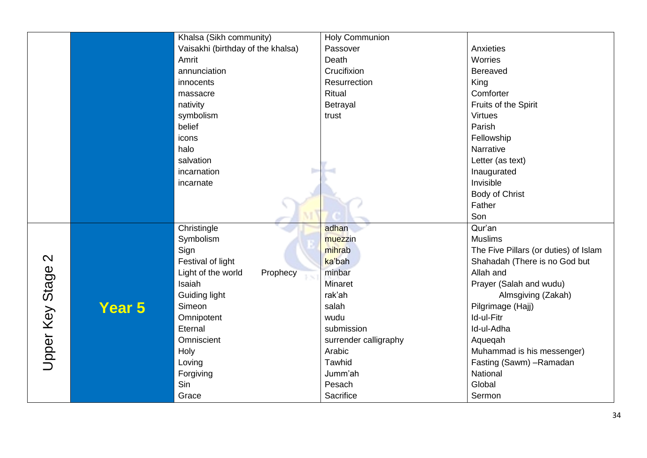|                   |        | Khalsa (Sikh community)           | <b>Holy Communion</b> |                                       |
|-------------------|--------|-----------------------------------|-----------------------|---------------------------------------|
|                   |        | Vaisakhi (birthday of the khalsa) | Passover              | Anxieties                             |
|                   |        | Amrit                             | Death                 | Worries                               |
|                   |        | annunciation                      | Crucifixion           | Bereaved                              |
|                   |        | innocents                         | Resurrection          | King                                  |
|                   |        | massacre                          | Ritual                | Comforter                             |
|                   |        | nativity                          | Betrayal              | Fruits of the Spirit                  |
|                   |        | symbolism                         | trust                 | <b>Virtues</b>                        |
|                   |        | belief                            |                       | Parish                                |
|                   |        | icons                             |                       | Fellowship                            |
|                   |        | halo                              |                       | Narrative                             |
|                   |        | salvation                         |                       | Letter (as text)                      |
|                   |        | incarnation                       |                       | Inaugurated                           |
|                   |        | incarnate                         |                       | Invisible                             |
|                   |        |                                   |                       | Body of Christ                        |
|                   |        |                                   |                       | Father                                |
|                   |        |                                   |                       | Son                                   |
|                   |        | Christingle                       | adhan                 | Qur'an                                |
|                   | Year 5 | Symbolism                         | muezzin               | <b>Muslims</b>                        |
|                   |        | Sign                              | mihrab                | The Five Pillars (or duties) of Islam |
| $\mathbf{\Omega}$ |        | Festival of light                 | ka'bah                | Shahadah (There is no God but         |
|                   |        | Light of the world<br>Prophecy    | minbar                | Allah and                             |
|                   |        | Isaiah                            | <b>Minaret</b>        | Prayer (Salah and wudu)               |
|                   |        | <b>Guiding light</b>              | rak'ah                | Almsgiving (Zakah)                    |
|                   |        | Simeon                            | salah                 | Pilgrimage (Hajj)                     |
|                   |        | Omnipotent                        | wudu                  | Id-ul-Fitr                            |
|                   |        | Eternal                           | submission            | Id-ul-Adha                            |
|                   |        | Omniscient                        | surrender calligraphy | Aquegah                               |
| Upper Key Stage   |        | Holy                              | Arabic                | Muhammad is his messenger)            |
|                   |        | Loving                            | Tawhid                | Fasting (Sawm) - Ramadan              |
|                   |        | Forgiving                         | Jumm'ah               | National                              |
|                   |        | Sin                               | Pesach                | Global                                |
|                   |        | Grace                             | Sacrifice             | Sermon                                |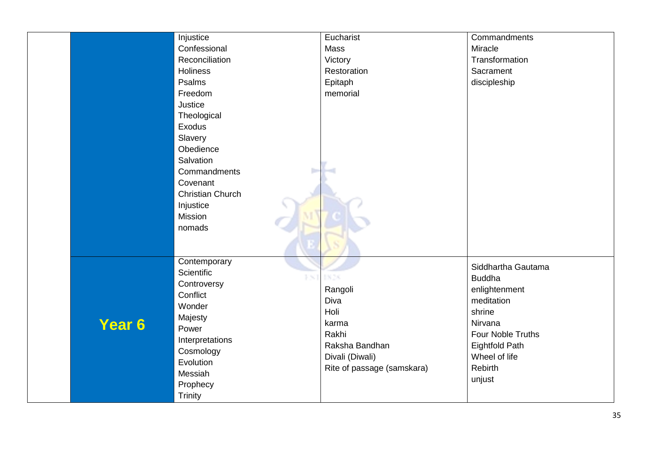|        | Injustice<br>Confessional<br>Reconciliation<br><b>Holiness</b><br>Psalms<br>Freedom<br>Justice<br>Theological<br><b>Exodus</b><br>Slavery<br>Obedience<br>Salvation<br>Commandments<br>ь<br>Covenant<br><b>Christian Church</b><br>Injustice<br>Mission<br>nomads | Eucharist<br>Mass<br>Victory<br>Restoration<br>Epitaph<br>memorial                                                   | Commandments<br>Miracle<br>Transformation<br>Sacrament<br>discipleship                                                                                                             |
|--------|-------------------------------------------------------------------------------------------------------------------------------------------------------------------------------------------------------------------------------------------------------------------|----------------------------------------------------------------------------------------------------------------------|------------------------------------------------------------------------------------------------------------------------------------------------------------------------------------|
| Year 6 | Contemporary<br>Scientific<br>EST<br>Controversy<br>Conflict<br>Wonder<br>Majesty<br>Power<br>Interpretations<br>Cosmology<br>Evolution<br>Messiah<br>Prophecy<br>Trinity                                                                                         | 1826<br>Rangoli<br>Diva<br>Holi<br>karma<br>Rakhi<br>Raksha Bandhan<br>Divali (Diwali)<br>Rite of passage (samskara) | Siddhartha Gautama<br><b>Buddha</b><br>enlightenment<br>meditation<br>shrine<br>Nirvana<br>Four Noble Truths<br><b>Eightfold Path</b><br>Wheel of life<br><b>Rebirth</b><br>unjust |